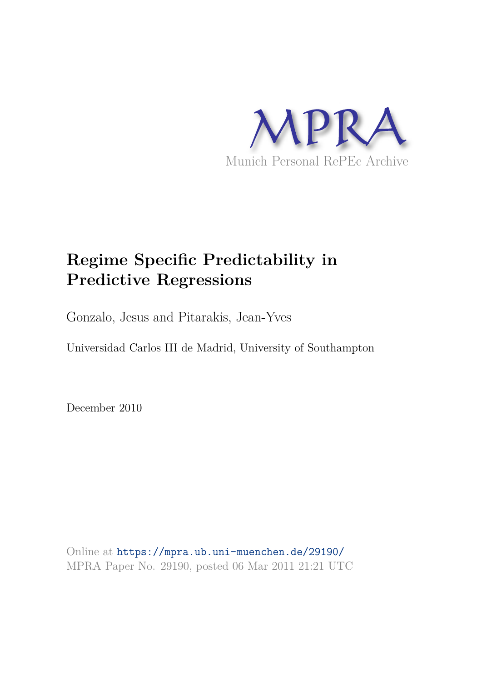

# **Regime Specific Predictability in Predictive Regressions**

Gonzalo, Jesus and Pitarakis, Jean-Yves

Universidad Carlos III de Madrid, University of Southampton

December 2010

Online at https://mpra.ub.uni-muenchen.de/29190/ MPRA Paper No. 29190, posted 06 Mar 2011 21:21 UTC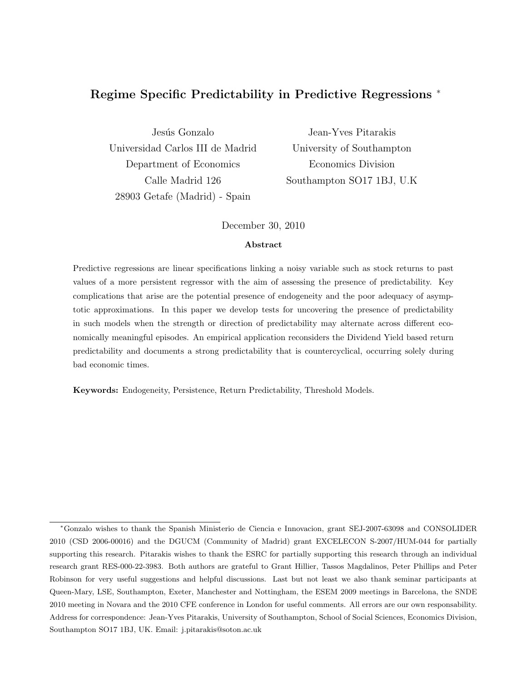## Regime Specific Predictability in Predictive Regressions <sup>∗</sup>

Jesús Gonzalo Universidad Carlos III de Madrid Department of Economics Calle Madrid 126 28903 Getafe (Madrid) - Spain

Jean-Yves Pitarakis University of Southampton Economics Division Southampton SO17 1BJ, U.K

December 30, 2010

#### Abstract

Predictive regressions are linear specifications linking a noisy variable such as stock returns to past values of a more persistent regressor with the aim of assessing the presence of predictability. Key complications that arise are the potential presence of endogeneity and the poor adequacy of asymptotic approximations. In this paper we develop tests for uncovering the presence of predictability in such models when the strength or direction of predictability may alternate across different economically meaningful episodes. An empirical application reconsiders the Dividend Yield based return predictability and documents a strong predictability that is countercyclical, occurring solely during bad economic times.

Keywords: Endogeneity, Persistence, Return Predictability, Threshold Models.

<sup>∗</sup>Gonzalo wishes to thank the Spanish Ministerio de Ciencia e Innovacion, grant SEJ-2007-63098 and CONSOLIDER 2010 (CSD 2006-00016) and the DGUCM (Community of Madrid) grant EXCELECON S-2007/HUM-044 for partially supporting this research. Pitarakis wishes to thank the ESRC for partially supporting this research through an individual research grant RES-000-22-3983. Both authors are grateful to Grant Hillier, Tassos Magdalinos, Peter Phillips and Peter Robinson for very useful suggestions and helpful discussions. Last but not least we also thank seminar participants at Queen-Mary, LSE, Southampton, Exeter, Manchester and Nottingham, the ESEM 2009 meetings in Barcelona, the SNDE 2010 meeting in Novara and the 2010 CFE conference in London for useful comments. All errors are our own responsability. Address for correspondence: Jean-Yves Pitarakis, University of Southampton, School of Social Sciences, Economics Division, Southampton SO17 1BJ, UK. Email: j.pitarakis@soton.ac.uk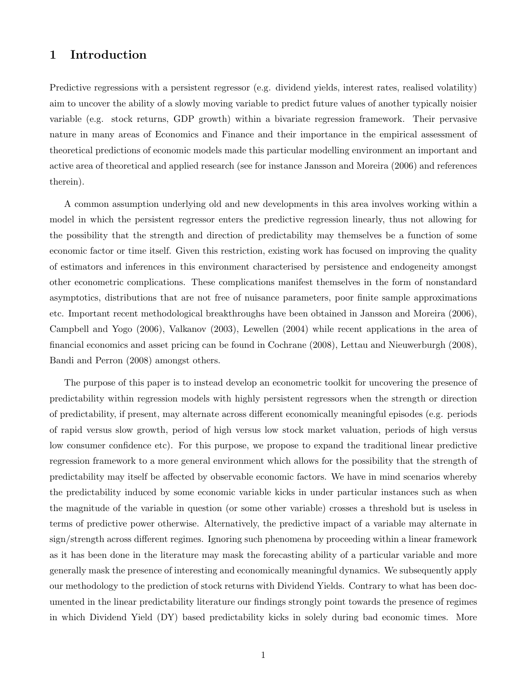### 1 Introduction

Predictive regressions with a persistent regressor (e.g. dividend yields, interest rates, realised volatility) aim to uncover the ability of a slowly moving variable to predict future values of another typically noisier variable (e.g. stock returns, GDP growth) within a bivariate regression framework. Their pervasive nature in many areas of Economics and Finance and their importance in the empirical assessment of theoretical predictions of economic models made this particular modelling environment an important and active area of theoretical and applied research (see for instance Jansson and Moreira (2006) and references therein).

A common assumption underlying old and new developments in this area involves working within a model in which the persistent regressor enters the predictive regression linearly, thus not allowing for the possibility that the strength and direction of predictability may themselves be a function of some economic factor or time itself. Given this restriction, existing work has focused on improving the quality of estimators and inferences in this environment characterised by persistence and endogeneity amongst other econometric complications. These complications manifest themselves in the form of nonstandard asymptotics, distributions that are not free of nuisance parameters, poor finite sample approximations etc. Important recent methodological breakthroughs have been obtained in Jansson and Moreira (2006), Campbell and Yogo (2006), Valkanov (2003), Lewellen (2004) while recent applications in the area of financial economics and asset pricing can be found in Cochrane (2008), Lettau and Nieuwerburgh (2008), Bandi and Perron (2008) amongst others.

The purpose of this paper is to instead develop an econometric toolkit for uncovering the presence of predictability within regression models with highly persistent regressors when the strength or direction of predictability, if present, may alternate across different economically meaningful episodes (e.g. periods of rapid versus slow growth, period of high versus low stock market valuation, periods of high versus low consumer confidence etc). For this purpose, we propose to expand the traditional linear predictive regression framework to a more general environment which allows for the possibility that the strength of predictability may itself be affected by observable economic factors. We have in mind scenarios whereby the predictability induced by some economic variable kicks in under particular instances such as when the magnitude of the variable in question (or some other variable) crosses a threshold but is useless in terms of predictive power otherwise. Alternatively, the predictive impact of a variable may alternate in sign/strength across different regimes. Ignoring such phenomena by proceeding within a linear framework as it has been done in the literature may mask the forecasting ability of a particular variable and more generally mask the presence of interesting and economically meaningful dynamics. We subsequently apply our methodology to the prediction of stock returns with Dividend Yields. Contrary to what has been documented in the linear predictability literature our findings strongly point towards the presence of regimes in which Dividend Yield (DY) based predictability kicks in solely during bad economic times. More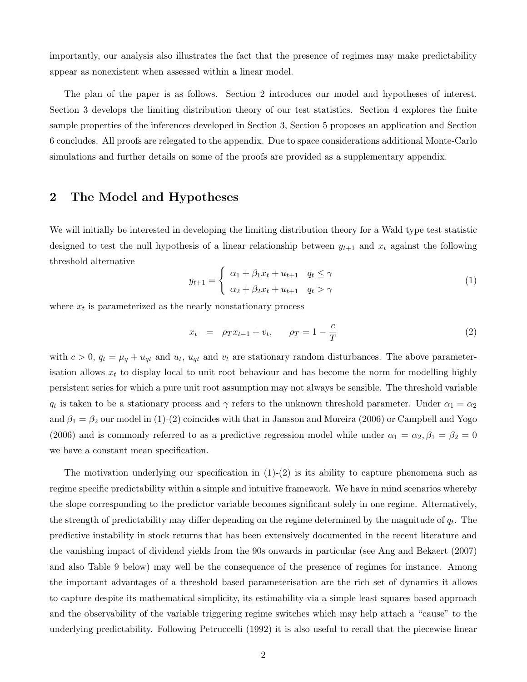importantly, our analysis also illustrates the fact that the presence of regimes may make predictability appear as nonexistent when assessed within a linear model.

The plan of the paper is as follows. Section 2 introduces our model and hypotheses of interest. Section 3 develops the limiting distribution theory of our test statistics. Section 4 explores the finite sample properties of the inferences developed in Section 3, Section 5 proposes an application and Section 6 concludes. All proofs are relegated to the appendix. Due to space considerations additional Monte-Carlo simulations and further details on some of the proofs are provided as a supplementary appendix.

## 2 The Model and Hypotheses

We will initially be interested in developing the limiting distribution theory for a Wald type test statistic designed to test the null hypothesis of a linear relationship between  $y_{t+1}$  and  $x_t$  against the following threshold alternative

$$
y_{t+1} = \begin{cases} \alpha_1 + \beta_1 x_t + u_{t+1} & q_t \le \gamma \\ \alpha_2 + \beta_2 x_t + u_{t+1} & q_t > \gamma \end{cases}
$$
 (1)

where  $x_t$  is parameterized as the nearly nonstationary process

$$
x_t = \rho_T x_{t-1} + v_t, \qquad \rho_T = 1 - \frac{c}{T}
$$
 (2)

with  $c > 0$ ,  $q_t = \mu_q + u_{qt}$  and  $u_t$ ,  $u_{qt}$  and  $v_t$  are stationary random disturbances. The above parameterisation allows  $x_t$  to display local to unit root behaviour and has become the norm for modelling highly persistent series for which a pure unit root assumption may not always be sensible. The threshold variable  $q_t$  is taken to be a stationary process and  $\gamma$  refers to the unknown threshold parameter. Under  $\alpha_1 = \alpha_2$ and  $\beta_1 = \beta_2$  our model in (1)-(2) coincides with that in Jansson and Moreira (2006) or Campbell and Yogo (2006) and is commonly referred to as a predictive regression model while under  $\alpha_1 = \alpha_2, \beta_1 = \beta_2 = 0$ we have a constant mean specification.

The motivation underlying our specification in  $(1)-(2)$  is its ability to capture phenomena such as regime specific predictability within a simple and intuitive framework. We have in mind scenarios whereby the slope corresponding to the predictor variable becomes significant solely in one regime. Alternatively, the strength of predictability may differ depending on the regime determined by the magnitude of  $q_t$ . The predictive instability in stock returns that has been extensively documented in the recent literature and the vanishing impact of dividend yields from the 90s onwards in particular (see Ang and Bekaert (2007) and also Table 9 below) may well be the consequence of the presence of regimes for instance. Among the important advantages of a threshold based parameterisation are the rich set of dynamics it allows to capture despite its mathematical simplicity, its estimability via a simple least squares based approach and the observability of the variable triggering regime switches which may help attach a "cause" to the underlying predictability. Following Petruccelli (1992) it is also useful to recall that the piecewise linear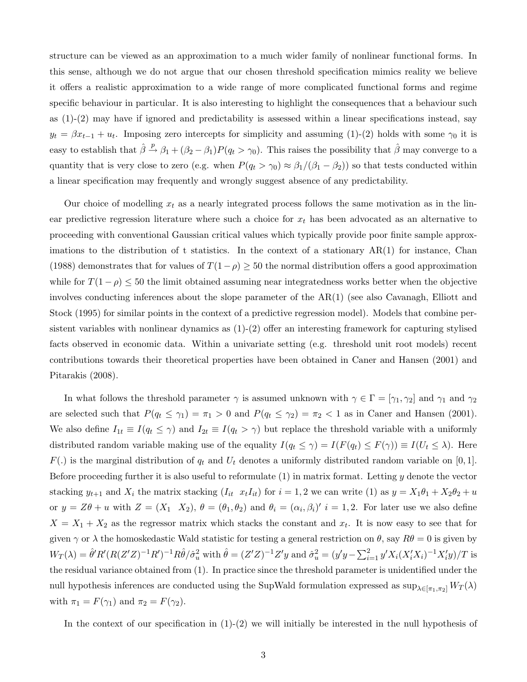structure can be viewed as an approximation to a much wider family of nonlinear functional forms. In this sense, although we do not argue that our chosen threshold specification mimics reality we believe it offers a realistic approximation to a wide range of more complicated functional forms and regime specific behaviour in particular. It is also interesting to highlight the consequences that a behaviour such as  $(1)-(2)$  may have if ignored and predictability is assessed within a linear specifications instead, say  $y_t = \beta x_{t-1} + u_t$ . Imposing zero intercepts for simplicity and assuming (1)-(2) holds with some  $\gamma_0$  it is easy to establish that  $\hat{\beta} \stackrel{p}{\rightarrow} \beta_1 + (\beta_2 - \beta_1)P(q_t > \gamma_0)$ . This raises the possibility that  $\hat{\beta}$  may converge to a quantity that is very close to zero (e.g. when  $P(q_t > \gamma_0) \approx \beta_1/(\beta_1 - \beta_2)$ ) so that tests conducted within a linear specification may frequently and wrongly suggest absence of any predictability.

Our choice of modelling  $x_t$  as a nearly integrated process follows the same motivation as in the linear predictive regression literature where such a choice for  $x_t$  has been advocated as an alternative to proceeding with conventional Gaussian critical values which typically provide poor finite sample approximations to the distribution of t statistics. In the context of a stationary  $AR(1)$  for instance, Chan (1988) demonstrates that for values of  $T(1-\rho) \ge 50$  the normal distribution offers a good approximation while for  $T(1 - \rho) \le 50$  the limit obtained assuming near integratedness works better when the objective involves conducting inferences about the slope parameter of the AR(1) (see also Cavanagh, Elliott and Stock (1995) for similar points in the context of a predictive regression model). Models that combine persistent variables with nonlinear dynamics as (1)-(2) offer an interesting framework for capturing stylised facts observed in economic data. Within a univariate setting (e.g. threshold unit root models) recent contributions towards their theoretical properties have been obtained in Caner and Hansen (2001) and Pitarakis (2008).

In what follows the threshold parameter  $\gamma$  is assumed unknown with  $\gamma \in \Gamma = [\gamma_1, \gamma_2]$  and  $\gamma_1$  and  $\gamma_2$ are selected such that  $P(q_t \leq \gamma_1) = \pi_1 > 0$  and  $P(q_t \leq \gamma_2) = \pi_2 < 1$  as in Caner and Hansen (2001). We also define  $I_{1t} \equiv I(q_t \leq \gamma)$  and  $I_{2t} \equiv I(q_t > \gamma)$  but replace the threshold variable with a uniformly distributed random variable making use of the equality  $I(q_t \leq \gamma) = I(F(q_t) \leq F(\gamma)) \equiv I(U_t \leq \lambda)$ . Here  $F(.)$  is the marginal distribution of  $q_t$  and  $U_t$  denotes a uniformly distributed random variable on [0, 1]. Before proceeding further it is also useful to reformulate  $(1)$  in matrix format. Letting y denote the vector stacking  $y_{t+1}$  and  $X_i$  the matrix stacking  $(I_{it} x_tI_{it})$  for  $i = 1, 2$  we can write (1) as  $y = X_1\theta_1 + X_2\theta_2 + u$ or  $y = Z\theta + u$  with  $Z = (X_1 \ X_2), \ \theta = (\theta_1, \theta_2)$  and  $\theta_i = (\alpha_i, \beta_i)'$   $i = 1, 2$ . For later use we also define  $X = X_1 + X_2$  as the regressor matrix which stacks the constant and  $x_t$ . It is now easy to see that for given  $\gamma$  or  $\lambda$  the homoskedastic Wald statistic for testing a general restriction on  $\theta$ , say  $R\theta = 0$  is given by  $W_T(\lambda) = \hat{\theta}' R'(R(Z'Z)^{-1}R')^{-1}R\hat{\theta}/\hat{\sigma}_u^2$  with  $\hat{\theta} = (Z'Z)^{-1}Z'y$  and  $\hat{\sigma}_u^2 = (y'y - \sum_{i=1}^2 y'X_i(X_i'X_i)^{-1}X_i'y)/T$  is the residual variance obtained from (1). In practice since the threshold parameter is unidentified under the null hypothesis inferences are conducted using the SupWald formulation expressed as  $\sup_{\lambda \in [\pi_1,\pi_2]} W_T(\lambda)$ with  $\pi_1 = F(\gamma_1)$  and  $\pi_2 = F(\gamma_2)$ .

In the context of our specification in  $(1)-(2)$  we will initially be interested in the null hypothesis of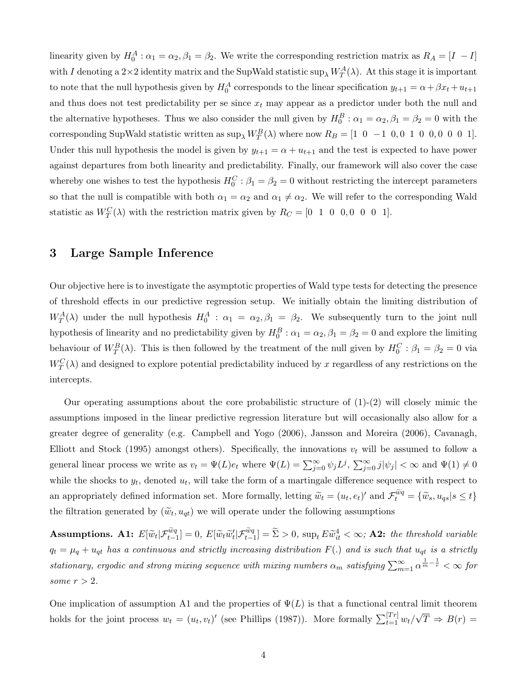linearity given by  $H_0^A: \alpha_1 = \alpha_2, \beta_1 = \beta_2$ . We write the corresponding restriction matrix as  $R_A = [I \ -I]$ with I denoting a  $2\times 2$  identity matrix and the SupWald statistic sup<sub> $\lambda$ </sub>  $W_T^A(\lambda)$ . At this stage it is important to note that the null hypothesis given by  $H_0^A$  corresponds to the linear specification  $y_{t+1} = \alpha + \beta x_t + u_{t+1}$ and thus does not test predictability per se since  $x_t$  may appear as a predictor under both the null and the alternative hypotheses. Thus we also consider the null given by  $H_0^B: \alpha_1 = \alpha_2, \beta_1 = \beta_2 = 0$  with the corresponding SupWald statistic written as  $\sup_{\lambda} W_T^B(\lambda)$  where now  $R_B = \begin{bmatrix} 1 & 0 & -1 & 0 & 0 & 1 & 0 & 0 & 0 & 0 & 1 \end{bmatrix}$ . Under this null hypothesis the model is given by  $y_{t+1} = \alpha + u_{t+1}$  and the test is expected to have power against departures from both linearity and predictability. Finally, our framework will also cover the case whereby one wishes to test the hypothesis  $H_0^C$ :  $\beta_1 = \beta_2 = 0$  without restricting the intercept parameters so that the null is compatible with both  $\alpha_1 = \alpha_2$  and  $\alpha_1 \neq \alpha_2$ . We will refer to the corresponding Wald statistic as  $W_T^C(\lambda)$  with the restriction matrix given by  $R_C = \begin{bmatrix} 0 & 1 & 0 & 0, 0 & 0 & 0 & 1 \end{bmatrix}$ .

### 3 Large Sample Inference

Our objective here is to investigate the asymptotic properties of Wald type tests for detecting the presence of threshold effects in our predictive regression setup. We initially obtain the limiting distribution of  $W_T^A(\lambda)$  under the null hypothesis  $H_0^A$ :  $\alpha_1 = \alpha_2, \beta_1 = \beta_2$ . We subsequently turn to the joint null hypothesis of linearity and no predictability given by  $H_0^B: \alpha_1 = \alpha_2, \beta_1 = \beta_2 = 0$  and explore the limiting behaviour of  $W_T^B(\lambda)$ . This is then followed by the treatment of the null given by  $H_0^C : \beta_1 = \beta_2 = 0$  via  $W_T^C(\lambda)$  and designed to explore potential predictability induced by x regardless of any restrictions on the intercepts.

Our operating assumptions about the core probabilistic structure of  $(1)-(2)$  will closely mimic the assumptions imposed in the linear predictive regression literature but will occasionally also allow for a greater degree of generality (e.g. Campbell and Yogo (2006), Jansson and Moreira (2006), Cavanagh, Elliott and Stock (1995) amongst others). Specifically, the innovations  $v_t$  will be assumed to follow a general linear process we write as  $v_t = \Psi(L)e_t$  where  $\Psi(L) = \sum_{j=0}^{\infty} \psi_j L^j$ ,  $\sum_{j=0}^{\infty} j |\psi_j| < \infty$  and  $\Psi(1) \neq 0$ while the shocks to  $y_t$ , denoted  $u_t$ , will take the form of a martingale difference sequence with respect to an appropriately defined information set. More formally, letting  $\widetilde{w}_t = (u_t, e_t)'$  and  $\mathcal{F}_t^{\widetilde{w}q} = {\widetilde{w}_s, u_{qs} | s \le t}$ the filtration generated by  $(\tilde{w}_t, u_{qt})$  we will operate under the following assumptions

Assumptions. A1:  $E[\widetilde{w}_t|\mathcal{F}_{t-1}^{\widetilde{w}_q}]=0, E[\widetilde{w}_t\widetilde{w}_t'|\mathcal{F}_{t-1}^{\widetilde{w}_q}]=\widetilde{\Sigma}>0$ ,  $\sup_t E\widetilde{w}_{it}^4<\infty$ ; A2: the threshold variable  $q_t = \mu_q + u_{qt}$  has a continuous and strictly increasing distribution  $F(.)$  and is such that  $u_{qt}$  is a strictly stationary, ergodic and strong mixing sequence with mixing numbers  $\alpha_m$  satisfying  $\sum_{m=1}^{\infty}\alpha^{\frac{1}{m}-\frac{1}{r}}<\infty$  for some  $r > 2$ .

One implication of assumption A1 and the properties of  $\Psi(L)$  is that a functional central limit theorem holds for the joint process  $w_t = (u_t, v_t)'$  (see Phillips (1987)). More formally  $\sum_{t=1}^{[Tr]} w_t / \sqrt{T} \Rightarrow B(r) =$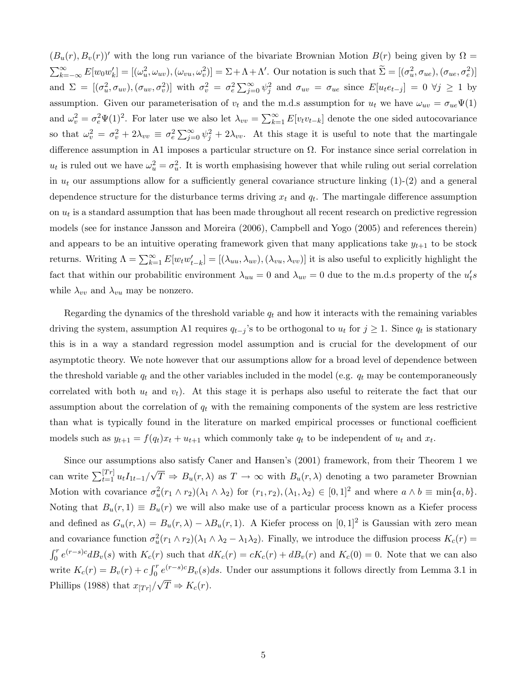$(B_u(r), B_v(r))'$  with the long run variance of the bivariate Brownian Motion  $B(r)$  being given by  $\Omega =$  $\sum_{k=-\infty}^{\infty} E[w_0 w'_k] = [(\omega_u^2, \omega_{uv}), (\omega_{vu}, \omega_v^2)] = \Sigma + \Lambda + \Lambda'$ . Our notation is such that  $\widetilde{\Sigma} = [(\sigma_u^2, \sigma_{ue}), (\sigma_{ue}, \sigma_e^2)]$ and  $\Sigma = [(\sigma_u^2, \sigma_{uv}), (\sigma_{uv}, \sigma_v^2)]$  with  $\sigma_v^2 = \sigma_e^2 \sum_{j=0}^{\infty} \psi_j^2$  and  $\sigma_{uv} = \sigma_{ue}$  since  $E[u_t e_{t-j}] = 0 \ \forall j \ge 1$  by assumption. Given our parameterisation of  $v_t$  and the m.d.s assumption for  $u_t$  we have  $\omega_{uv} = \sigma_{ue} \Psi(1)$ and  $\omega_v^2 = \sigma_e^2 \Psi(1)^2$ . For later use we also let  $\lambda_{vv} = \sum_{k=1}^{\infty} E[v_t v_{t-k}]$  denote the one sided autocovariance so that  $\omega_v^2 = \sigma_v^2 + 2\lambda_{vv} \equiv \sigma_e^2 \sum_{j=0}^{\infty} \psi_j^2 + 2\lambda_{vv}$ . At this stage it is useful to note that the martingale difference assumption in A1 imposes a particular structure on  $\Omega$ . For instance since serial correlation in  $u_t$  is ruled out we have  $\omega_u^2 = \sigma_u^2$ . It is worth emphasising however that while ruling out serial correlation in  $u_t$  our assumptions allow for a sufficiently general covariance structure linking  $(1)-(2)$  and a general dependence structure for the disturbance terms driving  $x_t$  and  $q_t$ . The martingale difference assumption on  $u_t$  is a standard assumption that has been made throughout all recent research on predictive regression models (see for instance Jansson and Moreira (2006), Campbell and Yogo (2005) and references therein) and appears to be an intuitive operating framework given that many applications take  $y_{t+1}$  to be stock returns. Writing  $\Lambda = \sum_{k=1}^{\infty} E[w_t w_{t-k}'] = [(\lambda_{uu}, \lambda_{uv}), (\lambda_{vu}, \lambda_{vv})]$  it is also useful to explicitly highlight the fact that within our probabilitic environment  $\lambda_{uu} = 0$  and  $\lambda_{uv} = 0$  due to the m.d.s property of the  $u_t's$ while  $\lambda_{vv}$  and  $\lambda_{vu}$  may be nonzero.

Regarding the dynamics of the threshold variable  $q_t$  and how it interacts with the remaining variables driving the system, assumption A1 requires  $q_{t-j}$ 's to be orthogonal to  $u_t$  for  $j \geq 1$ . Since  $q_t$  is stationary this is in a way a standard regression model assumption and is crucial for the development of our asymptotic theory. We note however that our assumptions allow for a broad level of dependence between the threshold variable  $q_t$  and the other variables included in the model (e.g.  $q_t$  may be contemporaneously correlated with both  $u_t$  and  $v_t$ ). At this stage it is perhaps also useful to reiterate the fact that our assumption about the correlation of  $q_t$  with the remaining components of the system are less restrictive than what is typically found in the literature on marked empirical processes or functional coefficient models such as  $y_{t+1} = f(q_t)x_t + u_{t+1}$  which commonly take  $q_t$  to be independent of  $u_t$  and  $x_t$ .

Since our assumptions also satisfy Caner and Hansen's (2001) framework, from their Theorem 1 we can write  $\sum_{t=1}^{[Tr]} u_t I_{1t-1}/\sqrt{T} \Rightarrow B_u(r,\lambda)$  as  $T \to \infty$  with  $B_u(r,\lambda)$  denoting a two parameter Brownian Motion with covariance  $\sigma_u^2(r_1 \wedge r_2)(\lambda_1 \wedge \lambda_2)$  for  $(r_1, r_2), (\lambda_1, \lambda_2) \in [0, 1]^2$  and where  $a \wedge b \equiv \min\{a, b\}.$ Noting that  $B_u(r, 1) \equiv B_u(r)$  we will also make use of a particular process known as a Kiefer process and defined as  $G_u(r,\lambda) = B_u(r,\lambda) - \lambda B_u(r,1)$ . A Kiefer process on  $[0,1]^2$  is Gaussian with zero mean and covariance function  $\sigma_u^2(r_1 \wedge r_2)(\lambda_1 \wedge \lambda_2 - \lambda_1 \lambda_2)$ . Finally, we introduce the diffusion process  $K_c(r)$  =  $\int_0^r e^{(r-s)c} dB_v(s)$  with  $K_c(r)$  such that  $dK_c(r) = cK_c(r) + dB_v(r)$  and  $K_c(0) = 0$ . Note that we can also write  $K_c(r) = B_v(r) + c \int_0^r e^{(r-s)c} B_v(s) ds$ . Under our assumptions it follows directly from Lemma 3.1 in Phillips (1988) that  $x_{[Tr]}/\sqrt{T} \Rightarrow K_c(r)$ .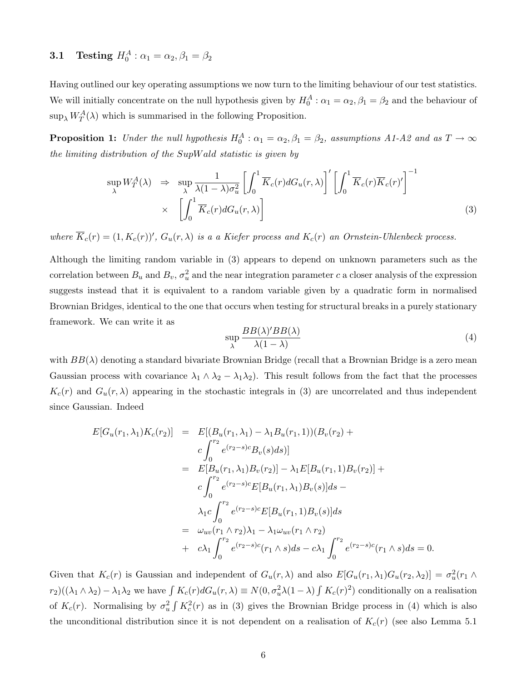# **3.1** Testing  $H_0^A: \alpha_1 = \alpha_2, \beta_1 = \beta_2$

Having outlined our key operating assumptions we now turn to the limiting behaviour of our test statistics. We will initially concentrate on the null hypothesis given by  $H_0^A$ :  $\alpha_1 = \alpha_2, \beta_1 = \beta_2$  and the behaviour of  $\sup_{\lambda} W_T^A(\lambda)$  which is summarised in the following Proposition.

**Proposition 1:** Under the null hypothesis  $H_0^A$ :  $\alpha_1 = \alpha_2, \beta_1 = \beta_2$ , assumptions A1-A2 and as  $T \to \infty$ the limiting distribution of the SupWald statistic is given by

$$
\sup_{\lambda} W_T^A(\lambda) \Rightarrow \sup_{\lambda} \frac{1}{\lambda (1 - \lambda) \sigma_u^2} \left[ \int_0^1 \overline{K}_c(r) dG_u(r, \lambda) \right]' \left[ \int_0^1 \overline{K}_c(r) \overline{K}_c(r)' \right]^{-1} \times \left[ \int_0^1 \overline{K}_c(r) dG_u(r, \lambda) \right]
$$
\n(3)

where  $K_c(r) = (1, K_c(r))'$ ,  $G_u(r, \lambda)$  is a a Kiefer process and  $K_c(r)$  an Ornstein-Uhlenbeck process.

Although the limiting random variable in (3) appears to depend on unknown parameters such as the correlation between  $B_u$  and  $B_v$ ,  $\sigma_u^2$  and the near integration parameter c a closer analysis of the expression suggests instead that it is equivalent to a random variable given by a quadratic form in normalised Brownian Bridges, identical to the one that occurs when testing for structural breaks in a purely stationary framework. We can write it as

$$
\sup_{\lambda} \frac{BB(\lambda)'BB(\lambda)}{\lambda(1-\lambda)}
$$
(4)

with  $BB(\lambda)$  denoting a standard bivariate Brownian Bridge (recall that a Brownian Bridge is a zero mean Gaussian process with covariance  $\lambda_1 \wedge \lambda_2 - \lambda_1 \lambda_2$ . This result follows from the fact that the processes  $K_c(r)$  and  $G_u(r, \lambda)$  appearing in the stochastic integrals in (3) are uncorrelated and thus independent since Gaussian. Indeed

$$
E[G_u(r_1, \lambda_1)K_c(r_2)] = E[(B_u(r_1, \lambda_1) - \lambda_1 B_u(r_1, 1))(B_v(r_2) + c \int_0^{r_2} e^{(r_2 - s)c} B_v(s) ds)]
$$
  
\n
$$
= E[B_u(r_1, \lambda_1)B_v(r_2)] - \lambda_1 E[B_u(r_1, 1)B_v(r_2)] + c \int_0^{r_2} e^{(r_2 - s)c} E[B_u(r_1, \lambda_1)B_v(s)] ds - \lambda_1 c \int_0^{r_2} e^{(r_2 - s)c} E[B_u(r_1, 1)B_v(s)] ds
$$
  
\n
$$
= \omega_{uv}(r_1 \wedge r_2) \lambda_1 - \lambda_1 \omega_{uv}(r_1 \wedge r_2) + c \lambda_1 \int_0^{r_2} e^{(r_2 - s)c}(r_1 \wedge s) ds - c \lambda_1 \int_0^{r_2} e^{(r_2 - s)c}(r_1 \wedge s) ds = 0.
$$

Given that  $K_c(r)$  is Gaussian and independent of  $G_u(r,\lambda)$  and also  $E[G_u(r_1,\lambda_1)G_u(r_2,\lambda_2)] = \sigma_u^2(r_1 \wedge$  $r_2)((\lambda_1 \wedge \lambda_2) - \lambda_1 \lambda_2$  we have  $\int K_c(r) dG_u(r,\lambda) \equiv N(0, \sigma_u^2 \lambda (1-\lambda) \int K_c(r)^2)$  conditionally on a realisation of  $K_c(r)$ . Normalising by  $\sigma_u^2 \int K_c^2(r)$  as in (3) gives the Brownian Bridge process in (4) which is also the unconditional distribution since it is not dependent on a realisation of  $K_c(r)$  (see also Lemma 5.1)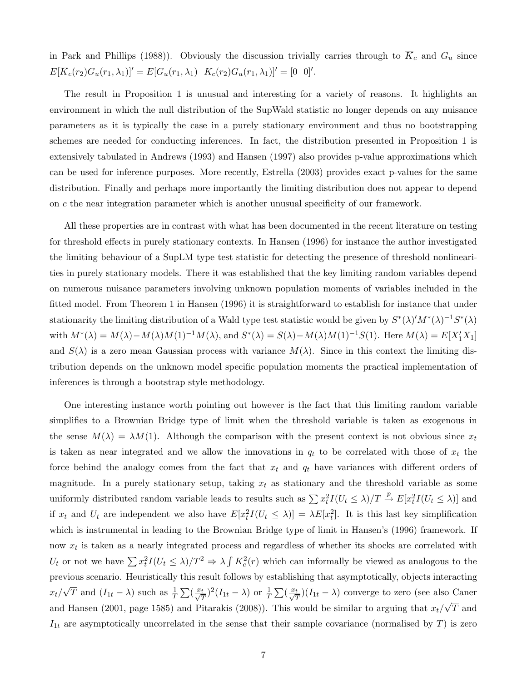in Park and Phillips (1988)). Obviously the discussion trivially carries through to  $\overline{K}_c$  and  $G_u$  since  $E[K_c(r_2)G_u(r_1,\lambda_1)]' = E[G_u(r_1,\lambda_1) \quad K_c(r_2)G_u(r_1,\lambda_1)]' = [0 \quad 0]'$ .

The result in Proposition 1 is unusual and interesting for a variety of reasons. It highlights an environment in which the null distribution of the SupWald statistic no longer depends on any nuisance parameters as it is typically the case in a purely stationary environment and thus no bootstrapping schemes are needed for conducting inferences. In fact, the distribution presented in Proposition 1 is extensively tabulated in Andrews (1993) and Hansen (1997) also provides p-value approximations which can be used for inference purposes. More recently, Estrella (2003) provides exact p-values for the same distribution. Finally and perhaps more importantly the limiting distribution does not appear to depend on c the near integration parameter which is another unusual specificity of our framework.

All these properties are in contrast with what has been documented in the recent literature on testing for threshold effects in purely stationary contexts. In Hansen (1996) for instance the author investigated the limiting behaviour of a SupLM type test statistic for detecting the presence of threshold nonlinearities in purely stationary models. There it was established that the key limiting random variables depend on numerous nuisance parameters involving unknown population moments of variables included in the fitted model. From Theorem 1 in Hansen (1996) it is straightforward to establish for instance that under stationarity the limiting distribution of a Wald type test statistic would be given by  $S^*(\lambda)'M^*(\lambda)^{-1}S^*(\lambda)$ with  $M^*(\lambda) = M(\lambda) - M(\lambda)M(1)^{-1}M(\lambda)$ , and  $S^*(\lambda) = S(\lambda) - M(\lambda)M(1)^{-1}S(1)$ . Here  $M(\lambda) = E[X'_1X_1]$ and  $S(\lambda)$  is a zero mean Gaussian process with variance  $M(\lambda)$ . Since in this context the limiting distribution depends on the unknown model specific population moments the practical implementation of inferences is through a bootstrap style methodology.

One interesting instance worth pointing out however is the fact that this limiting random variable simplifies to a Brownian Bridge type of limit when the threshold variable is taken as exogenous in the sense  $M(\lambda) = \lambda M(1)$ . Although the comparison with the present context is not obvious since  $x_t$ is taken as near integrated and we allow the innovations in  $q_t$  to be correlated with those of  $x_t$  the force behind the analogy comes from the fact that  $x_t$  and  $q_t$  have variances with different orders of magnitude. In a purely stationary setup, taking  $x_t$  as stationary and the threshold variable as some uniformly distributed random variable leads to results such as  $\sum x_t^2 I(U_t \le \lambda)/T \stackrel{p}{\to} E[x_t^2 I(U_t \le \lambda)]$  and if  $x_t$  and  $U_t$  are independent we also have  $E[x_t^2 I(U_t \leq \lambda)] = \lambda E[x_t^2]$ . It is this last key simplification which is instrumental in leading to the Brownian Bridge type of limit in Hansen's (1996) framework. If now  $x_t$  is taken as a nearly integrated process and regardless of whether its shocks are correlated with  $U_t$  or not we have  $\sum x_t^2 I(U_t \leq \lambda)/T^2 \Rightarrow \lambda \int K_c^2(r)$  which can informally be viewed as analogous to the previous scenario. Heuristically this result follows by establishing that asymptotically, objects interacting  $x_t/\sqrt{T}$  and  $(I_{1t} - \lambda)$  such as  $\frac{1}{T} \sum_{\substack{{\text{w}} \mid \text{m} \ n = \lambda}}^{\infty} (I_{1t} - \lambda)$  or  $\frac{1}{T} \sum_{\substack{{\text{w}} \mid \text{m} \ n = \lambda}}^{\infty} (I_{1t} - \lambda)$  converge to zero (see also Caner and Hansen (2001, page 1585) and Pitarakis (2008)). This would be similar to arguing that  $x_t/\sqrt{T}$  and  $I_{1t}$  are asymptotically uncorrelated in the sense that their sample covariance (normalised by T) is zero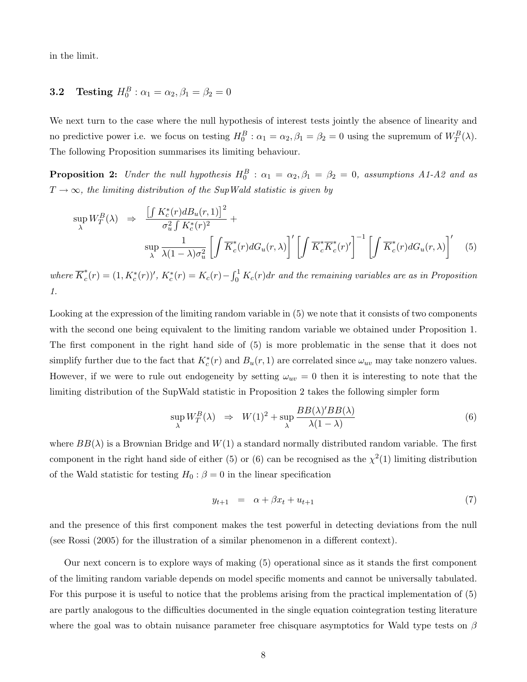in the limit.

# **3.2** Testing  $H_0^B: \alpha_1 = \alpha_2, \beta_1 = \beta_2 = 0$

We next turn to the case where the null hypothesis of interest tests jointly the absence of linearity and no predictive power i.e. we focus on testing  $H_0^B: \alpha_1 = \alpha_2, \beta_1 = \beta_2 = 0$  using the supremum of  $W_T^B(\lambda)$ . The following Proposition summarises its limiting behaviour.

**Proposition 2:** Under the null hypothesis  $H_0^B$  :  $\alpha_1 = \alpha_2, \beta_1 = \beta_2 = 0$ , assumptions A1-A2 and as  $T \rightarrow \infty$ , the limiting distribution of the SupWald statistic is given by

$$
\sup_{\lambda} W_T^B(\lambda) \Rightarrow \frac{\left[\int K_c^*(r) dB_u(r, 1)\right]^2}{\sigma_u^2 \int K_c^*(r)^2} + \sup_{\lambda} \frac{1}{\lambda(1 - \lambda)\sigma_u^2} \left[\int \overline{K}_c^*(r) dG_u(r, \lambda)\right]' \left[\int \overline{K}_c^* \overline{K}_c^*(r)'\right]^{-1} \left[\int \overline{K}_c^*(r) dG_u(r, \lambda)\right]'
$$
(5)

where  $\overline{K}_c^*(r) = (1, K_c^*(r))'$ ,  $K_c^*(r) = K_c(r) - \int_0^1 K_c(r)dr$  and the remaining variables are as in Proposition 1.

Looking at the expression of the limiting random variable in (5) we note that it consists of two components with the second one being equivalent to the limiting random variable we obtained under Proposition 1. The first component in the right hand side of (5) is more problematic in the sense that it does not simplify further due to the fact that  $K_c^*(r)$  and  $B_u(r, 1)$  are correlated since  $\omega_{uv}$  may take nonzero values. However, if we were to rule out endogeneity by setting  $\omega_{uv} = 0$  then it is interesting to note that the limiting distribution of the SupWald statistic in Proposition 2 takes the following simpler form

$$
\sup_{\lambda} W_T^B(\lambda) \Rightarrow W(1)^2 + \sup_{\lambda} \frac{BB(\lambda)'BB(\lambda)}{\lambda(1-\lambda)} \tag{6}
$$

where  $BB(\lambda)$  is a Brownian Bridge and  $W(1)$  a standard normally distributed random variable. The first component in the right hand side of either (5) or (6) can be recognised as the  $\chi^2(1)$  limiting distribution of the Wald statistic for testing  $H_0$ :  $\beta = 0$  in the linear specification

$$
y_{t+1} = \alpha + \beta x_t + u_{t+1} \tag{7}
$$

and the presence of this first component makes the test powerful in detecting deviations from the null (see Rossi (2005) for the illustration of a similar phenomenon in a different context).

Our next concern is to explore ways of making (5) operational since as it stands the first component of the limiting random variable depends on model specific moments and cannot be universally tabulated. For this purpose it is useful to notice that the problems arising from the practical implementation of (5) are partly analogous to the difficulties documented in the single equation cointegration testing literature where the goal was to obtain nuisance parameter free chisquare asymptotics for Wald type tests on  $\beta$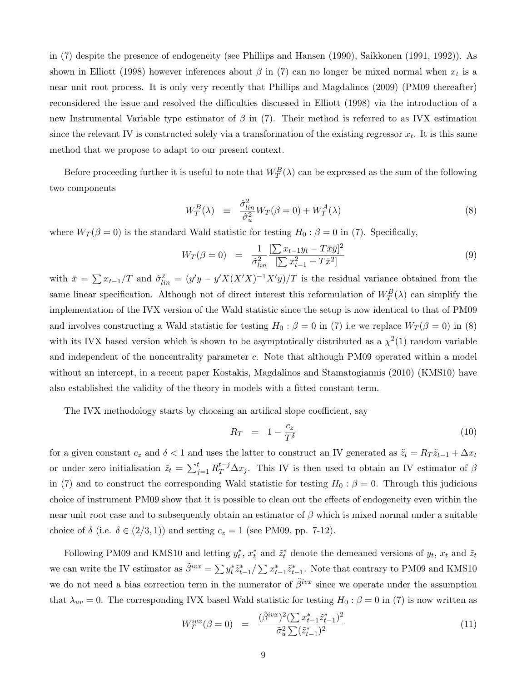in (7) despite the presence of endogeneity (see Phillips and Hansen (1990), Saikkonen (1991, 1992)). As shown in Elliott (1998) however inferences about  $\beta$  in (7) can no longer be mixed normal when  $x_t$  is a near unit root process. It is only very recently that Phillips and Magdalinos (2009) (PM09 thereafter) reconsidered the issue and resolved the difficulties discussed in Elliott (1998) via the introduction of a new Instrumental Variable type estimator of  $\beta$  in (7). Their method is referred to as IVX estimation since the relevant IV is constructed solely via a transformation of the existing regressor  $x_t$ . It is this same method that we propose to adapt to our present context.

Before proceeding further it is useful to note that  $W_T^B(\lambda)$  can be expressed as the sum of the following two components

$$
W_T^B(\lambda) \equiv \frac{\hat{\sigma}_{lin}^2}{\hat{\sigma}_u^2} W_T(\beta = 0) + W_T^A(\lambda) \tag{8}
$$

where  $W_T(\beta = 0)$  is the standard Wald statistic for testing  $H_0 : \beta = 0$  in (7). Specifically,

$$
W_T(\beta = 0) = \frac{1}{\hat{\sigma}_{lin}^2} \frac{\left[\sum x_{t-1} y_t - T \bar{x} \bar{y}\right]^2}{\left[\sum x_{t-1}^2 - T \bar{x}^2\right]}
$$
(9)

with  $\bar{x} = \sum x_{t-1}/T$  and  $\hat{\sigma}_{lin}^2 = (y'y - y'X(X'X)^{-1}X'y)/T$  is the residual variance obtained from the same linear specification. Although not of direct interest this reformulation of  $W_T^B(\lambda)$  can simplify the implementation of the IVX version of the Wald statistic since the setup is now identical to that of PM09 and involves constructing a Wald statistic for testing  $H_0$ :  $\beta = 0$  in (7) i.e we replace  $W_T(\beta = 0)$  in (8) with its IVX based version which is shown to be asymptotically distributed as a  $\chi^2(1)$  random variable and independent of the noncentrality parameter c. Note that although PM09 operated within a model without an intercept, in a recent paper Kostakis, Magdalinos and Stamatogiannis (2010) (KMS10) have also established the validity of the theory in models with a fitted constant term.

The IVX methodology starts by choosing an artifical slope coefficient, say

$$
R_T = 1 - \frac{c_z}{T^{\delta}} \tag{10}
$$

for a given constant  $c_z$  and  $\delta < 1$  and uses the latter to construct an IV generated as  $\tilde{z}_t = R_T \tilde{z}_{t-1} + \Delta x_t$ or under zero initialisation  $\tilde{z}_t = \sum_{j=1}^t R_T^{t-j} \Delta x_j$ . This IV is then used to obtain an IV estimator of  $\beta$ in (7) and to construct the corresponding Wald statistic for testing  $H_0$  :  $\beta = 0$ . Through this judicious choice of instrument PM09 show that it is possible to clean out the effects of endogeneity even within the near unit root case and to subsequently obtain an estimator of  $\beta$  which is mixed normal under a suitable choice of  $\delta$  (i.e.  $\delta \in (2/3, 1)$ ) and setting  $c_z = 1$  (see PM09, pp. 7-12).

Following PM09 and KMS10 and letting  $y_t^*$ ,  $x_t^*$  and  $\tilde{z}_t^*$  denote the demeaned versions of  $y_t$ ,  $x_t$  and  $\tilde{z}_t$ we can write the IV estimator as  $\tilde{\beta}^{ivx} = \sum y_t^* \tilde{z}_{t-1}^* / \sum x_{t-1}^* \tilde{z}_{t-1}^*$ . Note that contrary to PM09 and KMS10 we do not need a bias correction term in the numerator of  $\tilde{\beta}^{ivx}$  since we operate under the assumption that  $\lambda_{uv} = 0$ . The corresponding IVX based Wald statistic for testing  $H_0 : \beta = 0$  in (7) is now written as

$$
W_T^{ivx}(\beta = 0) = \frac{(\tilde{\beta}^{ivx})^2 (\sum x_{t-1}^* \tilde{z}_{t-1}^*)^2}{\tilde{\sigma}_u^2 \sum (\tilde{z}_{t-1}^*)^2}
$$
(11)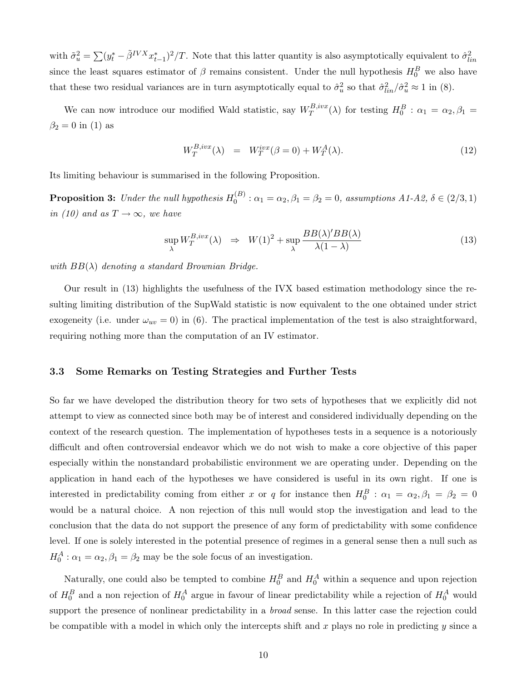with  $\tilde{\sigma}_u^2 = \sum (y_t^* - \tilde{\beta}^{IVX} x_{t-1}^*)^2 / T$ . Note that this latter quantity is also asymptotically equivalent to  $\hat{\sigma}_{lin}^2$ since the least squares estimator of  $\beta$  remains consistent. Under the null hypothesis  $H_0^B$  we also have that these two residual variances are in turn asymptotically equal to  $\hat{\sigma}_u^2$  so that  $\hat{\sigma}_{lin}^2/\hat{\sigma}_u^2 \approx 1$  in (8).

We can now introduce our modified Wald statistic, say  $W_T^{B,ivx}$  $T_I^{B,ivx}(\lambda)$  for testing  $H_0^B: \alpha_1 = \alpha_2, \beta_1 =$  $\beta_2 = 0$  in (1) as

$$
W_T^{B,ivx}(\lambda) = W_T^{ivx}(\beta = 0) + W_T^A(\lambda). \tag{12}
$$

Its limiting behaviour is summarised in the following Proposition.

**Proposition 3:** Under the null hypothesis  $H_0^{(B)}$  $\beta_0^{(B)}$ :  $\alpha_1 = \alpha_2, \beta_1 = \beta_2 = 0$ , assumptions  $A1-A2, \delta \in (2/3, 1)$ in (10) and as  $T \rightarrow \infty$ , we have

$$
\sup_{\lambda} W_T^{B,ivx}(\lambda) \Rightarrow W(1)^2 + \sup_{\lambda} \frac{BB(\lambda)'BB(\lambda)}{\lambda(1-\lambda)} \tag{13}
$$

with  $BB(\lambda)$  denoting a standard Brownian Bridge.

Our result in (13) highlights the usefulness of the IVX based estimation methodology since the resulting limiting distribution of the SupWald statistic is now equivalent to the one obtained under strict exogeneity (i.e. under  $\omega_{uv} = 0$ ) in (6). The practical implementation of the test is also straightforward, requiring nothing more than the computation of an IV estimator.

#### 3.3 Some Remarks on Testing Strategies and Further Tests

So far we have developed the distribution theory for two sets of hypotheses that we explicitly did not attempt to view as connected since both may be of interest and considered individually depending on the context of the research question. The implementation of hypotheses tests in a sequence is a notoriously difficult and often controversial endeavor which we do not wish to make a core objective of this paper especially within the nonstandard probabilistic environment we are operating under. Depending on the application in hand each of the hypotheses we have considered is useful in its own right. If one is interested in predictability coming from either x or q for instance then  $H_0^B$ :  $\alpha_1 = \alpha_2, \beta_1 = \beta_2 = 0$ would be a natural choice. A non rejection of this null would stop the investigation and lead to the conclusion that the data do not support the presence of any form of predictability with some confidence level. If one is solely interested in the potential presence of regimes in a general sense then a null such as  $H_0^A$ :  $\alpha_1 = \alpha_2, \beta_1 = \beta_2$  may be the sole focus of an investigation.

Naturally, one could also be tempted to combine  $H_0^B$  and  $H_0^A$  within a sequence and upon rejection of  $H_0^B$  and a non rejection of  $H_0^A$  argue in favour of linear predictability while a rejection of  $H_0^A$  would support the presence of nonlinear predictability in a *broad* sense. In this latter case the rejection could be compatible with a model in which only the intercepts shift and x plays no role in predicting  $y$  since a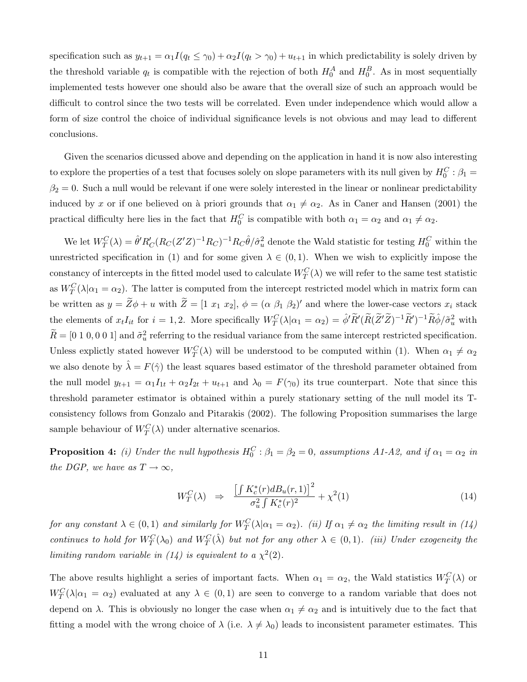specification such as  $y_{t+1} = \alpha_1 I(q_t \leq \gamma_0) + \alpha_2 I(q_t > \gamma_0) + u_{t+1}$  in which predictability is solely driven by the threshold variable  $q_t$  is compatible with the rejection of both  $H_0^A$  and  $H_0^B$ . As in most sequentially implemented tests however one should also be aware that the overall size of such an approach would be difficult to control since the two tests will be correlated. Even under independence which would allow a form of size control the choice of individual significance levels is not obvious and may lead to different conclusions.

Given the scenarios dicussed above and depending on the application in hand it is now also interesting to explore the properties of a test that focuses solely on slope parameters with its null given by  $H_0^C$ :  $\beta_1$  =  $\beta_2 = 0$ . Such a null would be relevant if one were solely interested in the linear or nonlinear predictability induced by x or if one believed on à priori grounds that  $\alpha_1 \neq \alpha_2$ . As in Caner and Hansen (2001) the practical difficulty here lies in the fact that  $H_0^C$  is compatible with both  $\alpha_1 = \alpha_2$  and  $\alpha_1 \neq \alpha_2$ .

We let  $W_T^C(\lambda) = \hat{\theta}' R_C' (R_C(Z'Z)^{-1} R_C)^{-1} R_C \hat{\theta}/\hat{\sigma}_u^2$  denote the Wald statistic for testing  $H_0^C$  within the unrestricted specification in (1) and for some given  $\lambda \in (0,1)$ . When we wish to explicitly impose the constancy of intercepts in the fitted model used to calculate  $W_T^C(\lambda)$  we will refer to the same test statistic as  $W_T^C(\lambda|\alpha_1=\alpha_2)$ . The latter is computed from the intercept restricted model which in matrix form can be written as  $y = Z\phi + u$  with  $Z = [1 \ x_1 \ x_2], \ \phi = (\alpha \ \beta_1 \ \beta_2)'$  and where the lower-case vectors  $x_i$  stack the elements of  $x_t I_{it}$  for  $i = 1, 2$ . More specifically  $W_T^C(\lambda | \alpha_1 = \alpha_2) = \hat{\phi}' \tilde{R}' (\tilde{R} (\tilde{Z}' \tilde{Z})^{-1} \tilde{R}')^{-1} \tilde{R} \hat{\phi}/\tilde{\sigma}_u^2$  with  $\widetilde{R} = [0\ 1\ 0, 0\ 0\ 1]$  and  $\widetilde{\sigma}_u^2$  referring to the residual variance from the same intercept restricted specification. Unless explictly stated however  $W_T^C(\lambda)$  will be understood to be computed within (1). When  $\alpha_1 \neq \alpha_2$ we also denote by  $\hat{\lambda} = F(\hat{\gamma})$  the least squares based estimator of the threshold parameter obtained from the null model  $y_{t+1} = \alpha_1 I_{1t} + \alpha_2 I_{2t} + u_{t+1}$  and  $\lambda_0 = F(\gamma_0)$  its true counterpart. Note that since this threshold parameter estimator is obtained within a purely stationary setting of the null model its Tconsistency follows from Gonzalo and Pitarakis (2002). The following Proposition summarises the large sample behaviour of  $W_T^C(\lambda)$  under alternative scenarios.

**Proposition 4:** (i) Under the null hypothesis  $H_0^C$ :  $\beta_1 = \beta_2 = 0$ , assumptions A1-A2, and if  $\alpha_1 = \alpha_2$  in the DGP, we have as  $T \to \infty$ ,

$$
W_T^C(\lambda) \quad \Rightarrow \quad \frac{\left[\int K_c^*(r) dB_u(r, 1)\right]^2}{\sigma_u^2 \int K_c^*(r)^2} + \chi^2(1) \tag{14}
$$

for any constant  $\lambda \in (0,1)$  and similarly for  $W^C_T(\lambda|\alpha_1=\alpha_2)$ . (ii) If  $\alpha_1 \neq \alpha_2$  the limiting result in (14) continues to hold for  $W^C_T(\lambda_0)$  and  $W^C_T(\hat{\lambda})$  but not for any other  $\lambda \in (0,1)$ . (iii) Under exogeneity the limiting random variable in (14) is equivalent to a  $\chi^2(2)$ .

The above results highlight a series of important facts. When  $\alpha_1 = \alpha_2$ , the Wald statistics  $W_T^C(\lambda)$  or  $W_T^C(\lambda|\alpha_1 = \alpha_2)$  evaluated at any  $\lambda \in (0,1)$  are seen to converge to a random variable that does not depend on  $\lambda$ . This is obviously no longer the case when  $\alpha_1 \neq \alpha_2$  and is intuitively due to the fact that fitting a model with the wrong choice of  $\lambda$  (i.e.  $\lambda \neq \lambda_0$ ) leads to inconsistent parameter estimates. This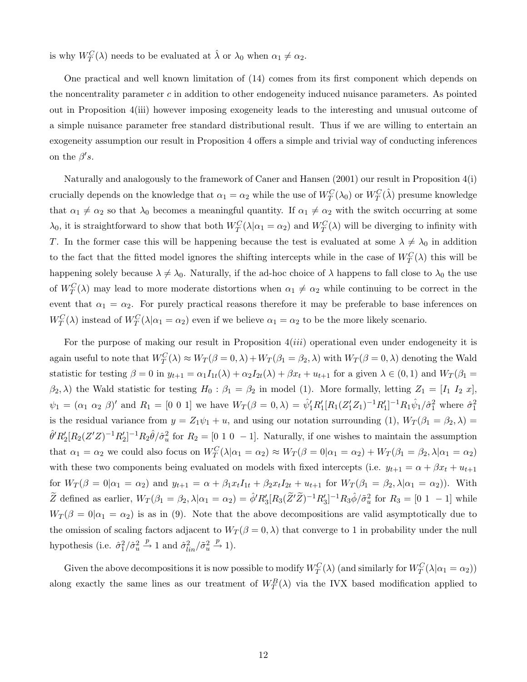is why  $W_T^C(\lambda)$  needs to be evaluated at  $\hat{\lambda}$  or  $\lambda_0$  when  $\alpha_1 \neq \alpha_2$ .

One practical and well known limitation of (14) comes from its first component which depends on the noncentrality parameter  $c$  in addition to other endogeneity induced nuisance parameters. As pointed out in Proposition 4(iii) however imposing exogeneity leads to the interesting and unusual outcome of a simple nuisance parameter free standard distributional result. Thus if we are willing to entertain an exogeneity assumption our result in Proposition 4 offers a simple and trivial way of conducting inferences on the  $\beta's$ .

Naturally and analogously to the framework of Caner and Hansen (2001) our result in Proposition 4(i) crucially depends on the knowledge that  $\alpha_1 = \alpha_2$  while the use of  $W_T^C(\lambda_0)$  or  $W_T^C(\hat{\lambda})$  presume knowledge that  $\alpha_1 \neq \alpha_2$  so that  $\lambda_0$  becomes a meaningful quantity. If  $\alpha_1 \neq \alpha_2$  with the switch occurring at some  $\lambda_0$ , it is straightforward to show that both  $W^C_T(\lambda|\alpha_1=\alpha_2)$  and  $W^C_T(\lambda)$  will be diverging to infinity with T. In the former case this will be happening because the test is evaluated at some  $\lambda \neq \lambda_0$  in addition to the fact that the fitted model ignores the shifting intercepts while in the case of  $W_T^C(\lambda)$  this will be happening solely because  $\lambda \neq \lambda_0$ . Naturally, if the ad-hoc choice of  $\lambda$  happens to fall close to  $\lambda_0$  the use of  $W_T^C(\lambda)$  may lead to more moderate distortions when  $\alpha_1 \neq \alpha_2$  while continuing to be correct in the event that  $\alpha_1 = \alpha_2$ . For purely practical reasons therefore it may be preferable to base inferences on  $W_T^C(\lambda)$  instead of  $W_T^C(\lambda|\alpha_1=\alpha_2)$  even if we believe  $\alpha_1=\alpha_2$  to be the more likely scenario.

For the purpose of making our result in Proposition  $4(iii)$  operational even under endogeneity it is again useful to note that  $W_T^C(\lambda) \approx W_T(\beta = 0, \lambda) + W_T(\beta_1 = \beta_2, \lambda)$  with  $W_T(\beta = 0, \lambda)$  denoting the Wald statistic for testing  $\beta = 0$  in  $y_{t+1} = \alpha_1 I_{1t}(\lambda) + \alpha_2 I_{2t}(\lambda) + \beta x_t + u_{t+1}$  for a given  $\lambda \in (0,1)$  and  $W_T(\beta_1 =$  $(\beta_2, \lambda)$  the Wald statistic for testing  $H_0 : \beta_1 = \beta_2$  in model (1). More formally, letting  $Z_1 = [I_1 I_2 x]$ ,  $\psi_1 = (\alpha_1 \ \alpha_2 \ \beta)'$  and  $R_1 = [0 \ 0 \ 1]$  we have  $W_T(\beta = 0, \lambda) = \hat{\psi}'_1 R'_1 [R_1 (Z'_1 Z_1)^{-1} R'_1]^{-1} R_1 \hat{\psi}_1 / \hat{\sigma}_1^2$  where  $\hat{\sigma}_1^2$ is the residual variance from  $y = Z_1 \psi_1 + u$ , and using our notation surrounding (1),  $W_T(\beta_1 = \beta_2, \lambda) =$  $\hat{\theta}'R_2'[R_2(Z'Z)^{-1}R_2']^{-1}R_2\hat{\theta}/\hat{\sigma}_u^2$  for  $R_2=[0 \; 1 \; 0 \; -1]$ . Naturally, if one wishes to maintain the assumption that  $\alpha_1 = \alpha_2$  we could also focus on  $W_T^C(\lambda|\alpha_1 = \alpha_2) \approx W_T(\beta = 0|\alpha_1 = \alpha_2) + W_T(\beta_1 = \beta_2, \lambda|\alpha_1 = \alpha_2)$ with these two components being evaluated on models with fixed intercepts (i.e.  $y_{t+1} = \alpha + \beta x_t + u_{t+1}$ for  $W_T(\beta = 0|\alpha_1 = \alpha_2)$  and  $y_{t+1} = \alpha + \beta_1 x_t I_{1t} + \beta_2 x_t I_{2t} + u_{t+1}$  for  $W_T(\beta_1 = \beta_2, \lambda|\alpha_1 = \alpha_2)$ . With  $\widetilde{Z}$  defined as earlier,  $W_T(\beta_1 = \beta_2, \lambda | \alpha_1 = \alpha_2) = \hat{\phi}' R_3'[R_3(\widetilde{Z}'\widetilde{Z})^{-1}R_3']^{-1}R_3\hat{\phi}/\tilde{\sigma}_u^2$  for  $R_3 = [0 \ 1 \ -1]$  while  $W_T(\beta = 0|\alpha_1 = \alpha_2)$  is as in (9). Note that the above decompositions are valid asymptotically due to the omission of scaling factors adjacent to  $W_T(\beta = 0, \lambda)$  that converge to 1 in probability under the null hypothesis (i.e.  $\hat{\sigma}_1^2/\hat{\sigma}_u^2 \stackrel{p}{\rightarrow} 1$  and  $\hat{\sigma}_{lin}^2/\tilde{\sigma}_u^2 \stackrel{p}{\rightarrow} 1$ ).

Given the above decompositions it is now possible to modify  $W^C_T(\lambda)$  (and similarly for  $W^C_T(\lambda|\alpha_1=\alpha_2)$ ) along exactly the same lines as our treatment of  $W_T^B(\lambda)$  via the IVX based modification applied to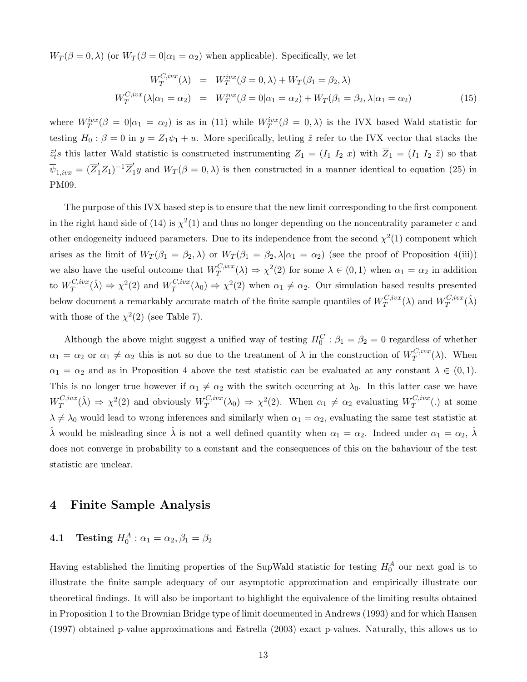$W_T(\beta = 0, \lambda)$  (or  $W_T(\beta = 0 | \alpha_1 = \alpha_2)$ ) when applicable). Specifically, we let

$$
W_T^{C,ivx}(\lambda) = W_T^{ivx}(\beta = 0, \lambda) + W_T(\beta_1 = \beta_2, \lambda)
$$
  

$$
W_T^{C,ivx}(\lambda|\alpha_1 = \alpha_2) = W_T^{ivx}(\beta = 0|\alpha_1 = \alpha_2) + W_T(\beta_1 = \beta_2, \lambda|\alpha_1 = \alpha_2)
$$
 (15)

where  $W_T^{ivx}(\beta = 0|\alpha_1 = \alpha_2)$  is as in (11) while  $W_T^{ivx}(\beta = 0,\lambda)$  is the IVX based Wald statistic for testing  $H_0: \beta = 0$  in  $y = Z_1 \psi_1 + u$ . More specifically, letting  $\tilde{z}$  refer to the IVX vector that stacks the  $\tilde{z}'_t$ s this latter Wald statistic is constructed instrumenting  $Z_1 = (I_1 I_2 x)$  with  $Z_1 = (I_1 I_2 \tilde{z})$  so that  $\overline{\psi}_{1,ivx} = (\overline{Z}'_1 Z_1)^{-1} \overline{Z}'_1 y$  and  $W_T(\beta = 0, \lambda)$  is then constructed in a manner identical to equation (25) in PM09.

The purpose of this IVX based step is to ensure that the new limit corresponding to the first component in the right hand side of (14) is  $\chi^2(1)$  and thus no longer depending on the noncentrality parameter c and other endogeneity induced parameters. Due to its independence from the second  $\chi^2(1)$  component which arises as the limit of  $W_T(\beta_1 = \beta_2, \lambda)$  or  $W_T(\beta_1 = \beta_2, \lambda | \alpha_1 = \alpha_2)$  (see the proof of Proposition 4(iii)) we also have the useful outcome that  $W_T^{C,ivx}$  $T^{C,ivx}(\lambda) \Rightarrow \chi^2(2)$  for some  $\lambda \in (0,1)$  when  $\alpha_1 = \alpha_2$  in addition to  $W_T^{C,ivx}$  $T^{C,ivx}(\hat{\lambda}) \Rightarrow \chi^2(2)$  and  $W^{C,ivx}_T$  $T^{C,ivx}(\lambda_0) \Rightarrow \chi^2(2)$  when  $\alpha_1 \neq \alpha_2$ . Our simulation based results presented below document a remarkably accurate match of the finite sample quantiles of  $W_T^{C,ivx}$  $T^{C,ivx}(\lambda)$  and  $W^{C,ivx}_T$  $T^{C,ivx}(\hat\lambda)$ with those of the  $\chi^2(2)$  (see Table 7).

Although the above might suggest a unified way of testing  $H_0^C$ :  $\beta_1 = \beta_2 = 0$  regardless of whether  $\alpha_1 = \alpha_2$  or  $\alpha_1 \neq \alpha_2$  this is not so due to the treatment of  $\lambda$  in the construction of  $W_T^{C,ivx}$  $T^{C, vvx}(\lambda)$ . When  $\alpha_1 = \alpha_2$  and as in Proposition 4 above the test statistic can be evaluated at any constant  $\lambda \in (0,1)$ . This is no longer true however if  $\alpha_1 \neq \alpha_2$  with the switch occurring at  $\lambda_0$ . In this latter case we have  $W^{C,ivx}_T$  $T_T^{C,ivx}(\hat{\lambda}) \Rightarrow \chi^2(2)$  and obviously  $W_T^{C,ivx}$  $T^{C,ivx}(\lambda_0) \Rightarrow \chi^2(2)$ . When  $\alpha_1 \neq \alpha_2$  evaluating  $W_T^{C,ivx}$  $T^{C, vvx}(.)$  at some  $\lambda \neq \lambda_0$  would lead to wrong inferences and similarly when  $\alpha_1 = \alpha_2$ , evaluating the same test statistic at  $\hat{\lambda}$  would be misleading since  $\hat{\lambda}$  is not a well defined quantity when  $\alpha_1 = \alpha_2$ . Indeed under  $\alpha_1 = \alpha_2$ ,  $\hat{\lambda}$ does not converge in probability to a constant and the consequences of this on the bahaviour of the test statistic are unclear.

#### 4 Finite Sample Analysis

# **4.1** Testing  $H_0^A: \alpha_1 = \alpha_2, \beta_1 = \beta_2$

Having established the limiting properties of the SupWald statistic for testing  $H_0^A$  our next goal is to illustrate the finite sample adequacy of our asymptotic approximation and empirically illustrate our theoretical findings. It will also be important to highlight the equivalence of the limiting results obtained in Proposition 1 to the Brownian Bridge type of limit documented in Andrews (1993) and for which Hansen (1997) obtained p-value approximations and Estrella (2003) exact p-values. Naturally, this allows us to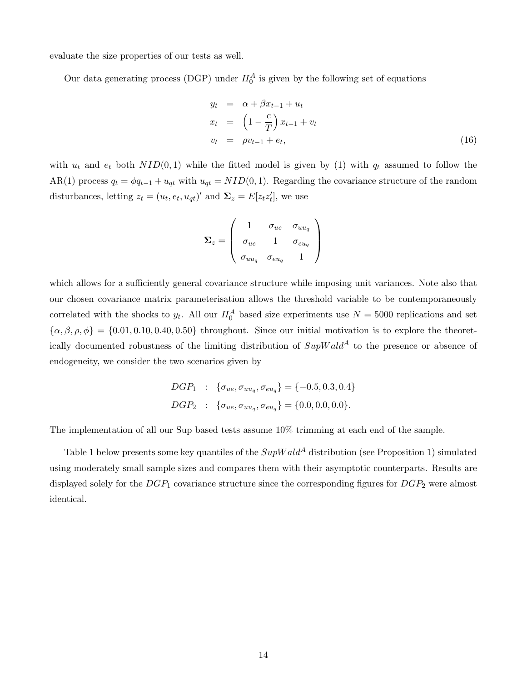evaluate the size properties of our tests as well.

Our data generating process (DGP) under  $H_0^A$  is given by the following set of equations

$$
y_t = \alpha + \beta x_{t-1} + u_t
$$
  
\n
$$
x_t = \left(1 - \frac{c}{T}\right) x_{t-1} + v_t
$$
  
\n
$$
v_t = \rho v_{t-1} + e_t,
$$
\n(16)

with  $u_t$  and  $e_t$  both  $NID(0, 1)$  while the fitted model is given by (1) with  $q_t$  assumed to follow the AR(1) process  $q_t = \phi q_{t-1} + u_{qt}$  with  $u_{qt} = NID(0, 1)$ . Regarding the covariance structure of the random disturbances, letting  $z_t = (u_t, e_t, u_{qt})'$  and  $\Sigma_z = E[z_t z_t']$ , we use

$$
\boldsymbol{\Sigma}_{z} = \left(\begin{array}{ccc} 1 & \sigma_{ue} & \sigma_{uu_q} \\ \sigma_{ue} & 1 & \sigma_{eu_q} \\ \sigma_{uu_q} & \sigma_{eu_q} & 1 \end{array}\right)
$$

which allows for a sufficiently general covariance structure while imposing unit variances. Note also that our chosen covariance matrix parameterisation allows the threshold variable to be contemporaneously correlated with the shocks to  $y_t$ . All our  $H_0^A$  based size experiments use  $N = 5000$  replications and set  ${\alpha, \beta, \rho, \phi} = {0.01, 0.10, 0.40, 0.50}$  throughout. Since our initial motivation is to explore the theoretically documented robustness of the limiting distribution of  $SupWald^A$  to the presence or absence of endogeneity, we consider the two scenarios given by

$$
DGP_1 : \{ \sigma_{ue}, \sigma_{uu_q}, \sigma_{eu_q} \} = \{-0.5, 0.3, 0.4 \}
$$
  

$$
DGP_2 : \{ \sigma_{ue}, \sigma_{uu_q}, \sigma_{eu_q} \} = \{0.0, 0.0, 0.0\}.
$$

The implementation of all our Sup based tests assume 10% trimming at each end of the sample.

Table 1 below presents some key quantiles of the  $SupWald^A$  distribution (see Proposition 1) simulated using moderately small sample sizes and compares them with their asymptotic counterparts. Results are displayed solely for the  $DGP_1$  covariance structure since the corresponding figures for  $DGP_2$  were almost identical.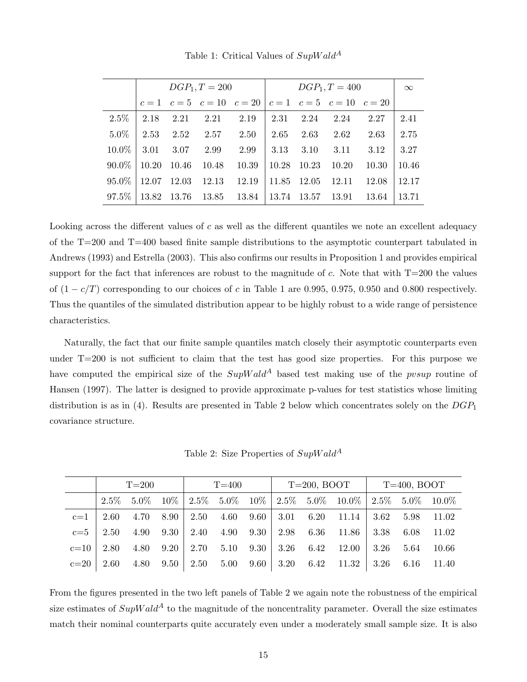|          |       |       | $DGP_1, T = 200$ |                                                     |       | $\infty$    |       |       |       |
|----------|-------|-------|------------------|-----------------------------------------------------|-------|-------------|-------|-------|-------|
|          |       |       |                  | $c=1$ $c=5$ $c=10$ $c=20$ $c=1$ $c=5$ $c=10$ $c=20$ |       |             |       |       |       |
| $2.5\%$  | 2.18  | 2.21  | 2.21             | 2.19                                                | 2.31  | 2.24        | 2.24  | 2.27  | 2.41  |
| 5.0%     | 2.53  | 2.52  | 2.57             | 2.50                                                | 2.65  | 2.63        | 2.62  | 2.63  | 2.75  |
| $10.0\%$ | 3.01  | 3.07  | 2.99             | 2.99                                                | 3.13  | 3.10        | 3.11  | 3.12  | 3.27  |
| $90.0\%$ | 10.20 | 10.46 | 10.48            | 10.39                                               | 10.28 | 10.23       | 10.20 | 10.30 | 10.46 |
| $95.0\%$ | 12.07 | 12.03 | 12.13            | 12.19                                               | 11.85 | 12.05       | 12.11 | 12.08 | 12.17 |
| 97.5%    | 13.82 | 13.76 | 13.85            | 13.84                                               |       | 13.74 13.57 | 13.91 | 13.64 | 13.71 |

Table 1: Critical Values of  $SupWald^A$ 

Looking across the different values of  $c$  as well as the different quantiles we note an excellent adequacy of the T=200 and T=400 based finite sample distributions to the asymptotic counterpart tabulated in Andrews (1993) and Estrella (2003). This also confirms our results in Proposition 1 and provides empirical support for the fact that inferences are robust to the magnitude of c. Note that with  $T=200$  the values of  $(1 - c/T)$  corresponding to our choices of c in Table 1 are 0.995, 0.975, 0.950 and 0.800 respectively. Thus the quantiles of the simulated distribution appear to be highly robust to a wide range of persistence characteristics.

Naturally, the fact that our finite sample quantiles match closely their asymptotic counterparts even under T=200 is not sufficient to claim that the test has good size properties. For this purpose we have computed the empirical size of the  $SupWald^A$  based test making use of the *pvsup* routine of Hansen (1997). The latter is designed to provide approximate p-values for test statistics whose limiting distribution is as in (4). Results are presented in Table 2 below which concentrates solely on the  $DGP_1$ covariance structure.

Table 2: Size Properties of  $SupWald^A$ 

|        | $T=200$ |  |  | $T=400$ |  |  | $T=200, BOOT$ $T=400, BOOT$ |  |                                                                                                 |  |                                                 |       |
|--------|---------|--|--|---------|--|--|-----------------------------|--|-------------------------------------------------------------------------------------------------|--|-------------------------------------------------|-------|
|        |         |  |  |         |  |  |                             |  | $2.5\%$ $5.0\%$ $10\%$ $2.5\%$ $5.0\%$ $10\%$ $2.5\%$ $5.0\%$ $10.0\%$ $2.5\%$ $5.0\%$ $10.0\%$ |  |                                                 |       |
| $c=1$  |         |  |  |         |  |  |                             |  | 2.60 4.70 8.90 2.50 4.60 9.60 3.01 6.20 11.14 3.62 5.98 11.02                                   |  |                                                 |       |
| $c=5$  | 2.50    |  |  |         |  |  |                             |  | 4.90 $9.30$   2.40 $4.90$ $9.30$   2.98 $6.36$ 11.86   3.38 $6.08$                              |  |                                                 | 11.02 |
| $c=10$ | 2.80    |  |  |         |  |  |                             |  | 4.80 $9.20$   2.70 $5.10$ $9.30$   3.26 $6.42$ 12.00                                            |  | $\begin{array}{ c} 3.26 \quad 5.64 \end{array}$ | 10.66 |
| $c=20$ | 2.60    |  |  |         |  |  |                             |  | 4.80 $9.50 \mid 2.50$ $5.00$ $9.60 \mid 3.20$ $6.42$ $11.32 \mid 3.26$ $6.16$ $11.40$           |  |                                                 |       |

From the figures presented in the two left panels of Table 2 we again note the robustness of the empirical size estimates of  $SupWald^A$  to the magnitude of the noncentrality parameter. Overall the size estimates match their nominal counterparts quite accurately even under a moderately small sample size. It is also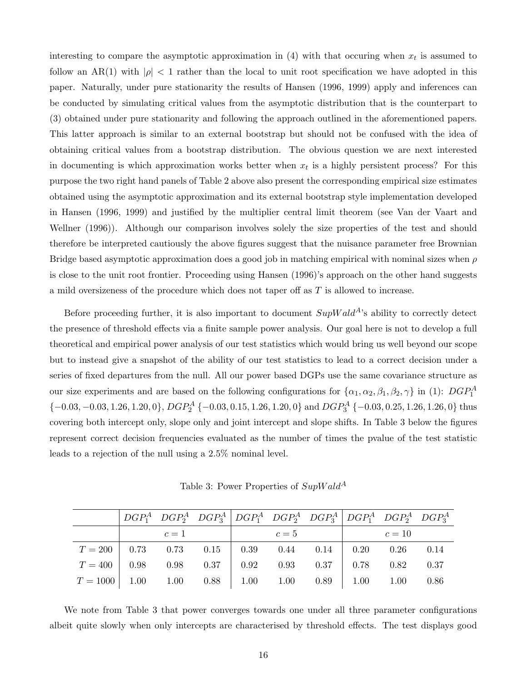interesting to compare the asymptotic approximation in  $(4)$  with that occuring when  $x_t$  is assumed to follow an AR(1) with  $|\rho| < 1$  rather than the local to unit root specification we have adopted in this paper. Naturally, under pure stationarity the results of Hansen (1996, 1999) apply and inferences can be conducted by simulating critical values from the asymptotic distribution that is the counterpart to (3) obtained under pure stationarity and following the approach outlined in the aforementioned papers. This latter approach is similar to an external bootstrap but should not be confused with the idea of obtaining critical values from a bootstrap distribution. The obvious question we are next interested in documenting is which approximation works better when  $x_t$  is a highly persistent process? For this purpose the two right hand panels of Table 2 above also present the corresponding empirical size estimates obtained using the asymptotic approximation and its external bootstrap style implementation developed in Hansen (1996, 1999) and justified by the multiplier central limit theorem (see Van der Vaart and Wellner (1996)). Although our comparison involves solely the size properties of the test and should therefore be interpreted cautiously the above figures suggest that the nuisance parameter free Brownian Bridge based asymptotic approximation does a good job in matching empirical with nominal sizes when  $\rho$ is close to the unit root frontier. Proceeding using Hansen (1996)'s approach on the other hand suggests a mild oversizeness of the procedure which does not taper off as T is allowed to increase.

Before proceeding further, it is also important to document  $SupWald<sup>A</sup>$ 's ability to correctly detect the presence of threshold effects via a finite sample power analysis. Our goal here is not to develop a full theoretical and empirical power analysis of our test statistics which would bring us well beyond our scope but to instead give a snapshot of the ability of our test statistics to lead to a correct decision under a series of fixed departures from the null. All our power based DGPs use the same covariance structure as our size experiments and are based on the following configurations for  $\{\alpha_1, \alpha_2, \beta_1, \beta_2, \gamma\}$  in (1):  $DGP_1^A$  $\{-0.03, -0.03, 1.26, 1.20, 0\}, DGP<sub>2</sub><sup>A</sup> \{-0.03, 0.15, 1.26, 1.20, 0\}$  and  $DGP<sub>3</sub><sup>A</sup> \{-0.03, 0.25, 1.26, 1.26, 0\}$  thus covering both intercept only, slope only and joint intercept and slope shifts. In Table 3 below the figures represent correct decision frequencies evaluated as the number of times the pvalue of the test statistic leads to a rejection of the null using a 2.5% nominal level.

Table 3: Power Properties of  $SupWald^A$ 

|                                                                         | $c=1$ |  | $c=5$ | $c=10$ |  |
|-------------------------------------------------------------------------|-------|--|-------|--------|--|
| $T = 200$ 0.73 0.73 0.15 0.39 0.44 0.14 0.20 0.26 0.14                  |       |  |       |        |  |
| $T = 400$ 0.98 0.98 0.37 0.92 0.93 0.37 0.78 0.82 0.37                  |       |  |       |        |  |
| $T = 1000$   1.00 $1.00$ $0.88$   1.00 $1.00$ $0.89$   1.00 $1.00$ 0.86 |       |  |       |        |  |

We note from Table 3 that power converges towards one under all three parameter configurations albeit quite slowly when only intercepts are characterised by threshold effects. The test displays good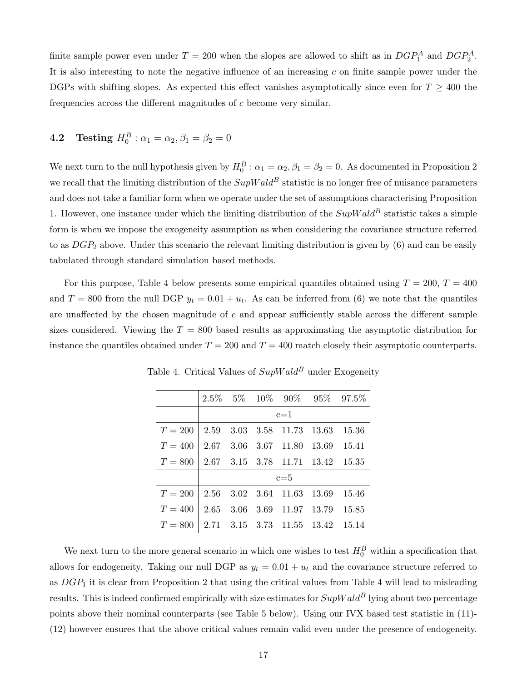finite sample power even under  $T = 200$  when the slopes are allowed to shift as in  $DGP_1^A$  and  $DGP_2^A$ . It is also interesting to note the negative influence of an increasing  $c$  on finite sample power under the DGPs with shifting slopes. As expected this effect vanishes asymptotically since even for  $T \geq 400$  the frequencies across the different magnitudes of  $c$  become very similar.

# **4.2** Testing  $H_0^B: \alpha_1 = \alpha_2, \beta_1 = \beta_2 = 0$

We next turn to the null hypothesis given by  $H_0^B: \alpha_1 = \alpha_2, \beta_1 = \beta_2 = 0$ . As documented in Proposition 2 we recall that the limiting distribution of the  $SupWald^B$  statistic is no longer free of nuisance parameters and does not take a familiar form when we operate under the set of assumptions characterising Proposition 1. However, one instance under which the limiting distribution of the  $SupWald^B$  statistic takes a simple form is when we impose the exogeneity assumption as when considering the covariance structure referred to as  $DGP_2$  above. Under this scenario the relevant limiting distribution is given by  $(6)$  and can be easily tabulated through standard simulation based methods.

For this purpose, Table 4 below presents some empirical quantiles obtained using  $T = 200$ ,  $T = 400$ and  $T = 800$  from the null DGP  $y_t = 0.01 + u_t$ . As can be inferred from (6) we note that the quantiles are unaffected by the chosen magnitude of c and appear sufficiently stable across the different sample sizes considered. Viewing the  $T = 800$  based results as approximating the asymptotic distribution for instance the quantiles obtained under  $T = 200$  and  $T = 400$  match closely their asymptotic counterparts.

|                                              |         |  |                                  |  | $2.5\%$ 5\% 10\% 90\% 95\% 97.5\% |  |  |  |  |  |  |
|----------------------------------------------|---------|--|----------------------------------|--|-----------------------------------|--|--|--|--|--|--|
|                                              |         |  | $c=1$                            |  |                                   |  |  |  |  |  |  |
| $T = 200$                                    |         |  | 2.59 3.03 3.58 11.73 13.63 15.36 |  |                                   |  |  |  |  |  |  |
| $T = 400$                                    |         |  | 2.67 3.06 3.67 11.80 13.69 15.41 |  |                                   |  |  |  |  |  |  |
| $T = 800$   2.67 3.15 3.78 11.71 13.42 15.35 |         |  |                                  |  |                                   |  |  |  |  |  |  |
|                                              | $c = 5$ |  |                                  |  |                                   |  |  |  |  |  |  |
| $T = 200$                                    |         |  | 2.56 3.02 3.64 11.63 13.69       |  | 15.46                             |  |  |  |  |  |  |
| $T = 400$                                    |         |  | 2.65 3.06 3.69 11.97 13.79 15.85 |  |                                   |  |  |  |  |  |  |
| $T = 800$   2.71 3.15 3.73 11.55 13.42 15.14 |         |  |                                  |  |                                   |  |  |  |  |  |  |

Table 4. Critical Values of  $SupWald^B$  under Exogeneity

We next turn to the more general scenario in which one wishes to test  $H_0^B$  within a specification that allows for endogeneity. Taking our null DGP as  $y_t = 0.01 + u_t$  and the covariance structure referred to as  $DGP_1$  it is clear from Proposition 2 that using the critical values from Table 4 will lead to misleading results. This is indeed confirmed empirically with size estimates for  $SupWald^B$  lying about two percentage points above their nominal counterparts (see Table 5 below). Using our IVX based test statistic in (11)- (12) however ensures that the above critical values remain valid even under the presence of endogeneity.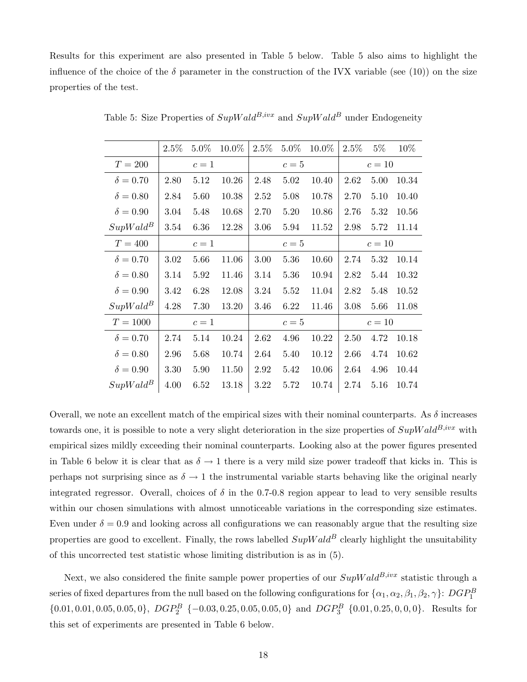Results for this experiment are also presented in Table 5 below. Table 5 also aims to highlight the influence of the choice of the  $\delta$  parameter in the construction of the IVX variable (see (10)) on the size properties of the test.

|                 | $2.5\%$ | $5.0\%$ | 10.0% | $2.5\%$ | $5.0\%$ | 10.0% | $2.5\%$ | $5\%$  | 10%   |
|-----------------|---------|---------|-------|---------|---------|-------|---------|--------|-------|
| $T = 200$       |         | $c=1$   |       |         | $c=5$   |       |         | $c=10$ |       |
| $\delta = 0.70$ | 2.80    | 5.12    | 10.26 | 2.48    | 5.02    | 10.40 | 2.62    | 5.00   | 10.34 |
| $\delta = 0.80$ | 2.84    | 5.60    | 10.38 | 2.52    | 5.08    | 10.78 | 2.70    | 5.10   | 10.40 |
| $\delta = 0.90$ | 3.04    | 5.48    | 10.68 | 2.70    | 5.20    | 10.86 | 2.76    | 5.32   | 10.56 |
| $SupWald^B$     | 3.54    | 6.36    | 12.28 | 3.06    | 5.94    | 11.52 | 2.98    | 5.72   | 11.14 |
| $T=400$         |         | $c=1$   |       |         | $c=5$   |       |         | $c=10$ |       |
| $\delta = 0.70$ | 3.02    | 5.66    | 11.06 | 3.00    | 5.36    | 10.60 | 2.74    | 5.32   | 10.14 |
| $\delta = 0.80$ | 3.14    | 5.92    | 11.46 | 3.14    | 5.36    | 10.94 | 2.82    | 5.44   | 10.32 |
| $\delta = 0.90$ | 3.42    | 6.28    | 12.08 | 3.24    | 5.52    | 11.04 | 2.82    | 5.48   | 10.52 |
| $SupWald^B$     | 4.28    | 7.30    | 13.20 | 3.46    | 6.22    | 11.46 | 3.08    | 5.66   | 11.08 |
| $T = 1000$      |         | $c=1$   |       |         | $c=5$   |       | $c=10$  |        |       |
| $\delta = 0.70$ | 2.74    | 5.14    | 10.24 | 2.62    | 4.96    | 10.22 | 2.50    | 4.72   | 10.18 |
| $\delta = 0.80$ | 2.96    | 5.68    | 10.74 | 2.64    | 5.40    | 10.12 | 2.66    | 4.74   | 10.62 |
| $\delta = 0.90$ | 3.30    | 5.90    | 11.50 | 2.92    | 5.42    | 10.06 | 2.64    | 4.96   | 10.44 |
| $SupWald^B$     | 4.00    | 6.52    | 13.18 | 3.22    | 5.72    | 10.74 | 2.74    | 5.16   | 10.74 |

Table 5: Size Properties of  $SupWald^{B,ivx}$  and  $SupWald^B$  under Endogeneity

Overall, we note an excellent match of the empirical sizes with their nominal counterparts. As  $\delta$  increases towards one, it is possible to note a very slight deterioration in the size properties of  $SupWald^{B,ivx}$  with empirical sizes mildly exceeding their nominal counterparts. Looking also at the power figures presented in Table 6 below it is clear that as  $\delta \to 1$  there is a very mild size power tradeoff that kicks in. This is perhaps not surprising since as  $\delta \to 1$  the instrumental variable starts behaving like the original nearly integrated regressor. Overall, choices of  $\delta$  in the 0.7-0.8 region appear to lead to very sensible results within our chosen simulations with almost unnoticeable variations in the corresponding size estimates. Even under  $\delta = 0.9$  and looking across all configurations we can reasonably argue that the resulting size properties are good to excellent. Finally, the rows labelled  $SupWald^B$  clearly highlight the unsuitability of this uncorrected test statistic whose limiting distribution is as in (5).

Next, we also considered the finite sample power properties of our  $SupWald^{B,ivx}$  statistic through a series of fixed departures from the null based on the following configurations for  $\{\alpha_1, \alpha_2, \beta_1, \beta_2, \gamma\}$ :  $DGP_1^B$  $\{0.01, 0.01, 0.05, 0.05, 0\}, \ DGP_2^B \{0.03, 0.25, 0.05, 0.05, 0\} \text{ and } DGP_3^B \{0.01, 0.25, 0, 0, 0\}.$  Results for this set of experiments are presented in Table 6 below.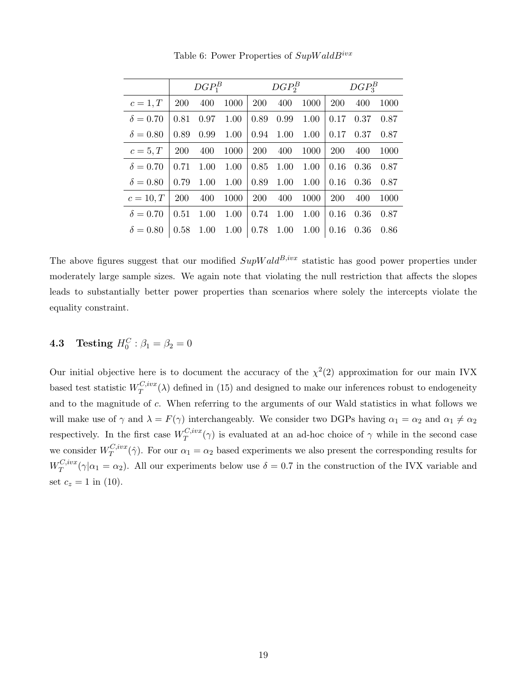|                 |      | $DGP_1^B$ |      |            | $DGP_2^B$ |      |            | $DGP_3^B$ |      |
|-----------------|------|-----------|------|------------|-----------|------|------------|-----------|------|
| $c=1,T$         | 200  | 400       | 1000 | 200        | 400       | 1000 | <b>200</b> | 400       | 1000 |
| $\delta = 0.70$ | 0.81 | 0.97      | 1.00 | 0.89       | 0.99      | 1.00 | 0.17       | 0.37      | 0.87 |
| $\delta = 0.80$ | 0.89 | 0.99      | 1.00 | 0.94       | 1.00      | 1.00 | 0.17       | 0.37      | 0.87 |
| $c=5,T$         | 200  | 400       | 1000 | <b>200</b> | 400       | 1000 | 200        | 400       | 1000 |
| $\delta = 0.70$ | 0.71 | 1.00      | 1.00 | 0.85       | 1.00      | 1.00 | 0.16       | 0.36      | 0.87 |
| $\delta = 0.80$ | 0.79 | 1.00      | 1.00 | 0.89       | 1.00      | 1.00 | 0.16       | 0.36      | 0.87 |
| $c=10,T$        | 200  | 400       | 1000 | <b>200</b> | 400       | 1000 | 200        | 400       | 1000 |
| $\delta = 0.70$ | 0.51 | 1.00      | 1.00 | 0.74       | 1.00      | 1.00 | 0.16       | 0.36      | 0.87 |
| $\delta = 0.80$ | 0.58 | 1.00      | 1.00 | 0.78       | 1.00      | 1.00 | 0.16       | 0.36      | 0.86 |

Table 6: Power Properties of  $SupWaldB<sup>ivx</sup>$ 

The above figures suggest that our modified  $SupWald^{B,ivx}$  statistic has good power properties under moderately large sample sizes. We again note that violating the null restriction that affects the slopes leads to substantially better power properties than scenarios where solely the intercepts violate the equality constraint.

# **4.3** Testing  $H_0^C: \beta_1 = \beta_2 = 0$

Our initial objective here is to document the accuracy of the  $\chi^2(2)$  approximation for our main IVX based test statistic  $W_T^{C,ivx}$  $T^{C,nvx}(\lambda)$  defined in (15) and designed to make our inferences robust to endogeneity and to the magnitude of c. When referring to the arguments of our Wald statistics in what follows we will make use of  $\gamma$  and  $\lambda = F(\gamma)$  interchangeably. We consider two DGPs having  $\alpha_1 = \alpha_2$  and  $\alpha_1 \neq \alpha_2$ respectively. In the first case  $W_T^{C,ivx}$  $T^{C, vxx}(\gamma)$  is evaluated at an ad-hoc choice of  $\gamma$  while in the second case we consider  $W_T^{C,ivx}$  $T^{C, vxx}(\hat{\gamma})$ . For our  $\alpha_1 = \alpha_2$  based experiments we also present the corresponding results for  $W^{C,ivx}_T$  $T^{C, vxx}(\gamma|\alpha_1 = \alpha_2)$ . All our experiments below use  $\delta = 0.7$  in the construction of the IVX variable and set  $c_z = 1$  in (10).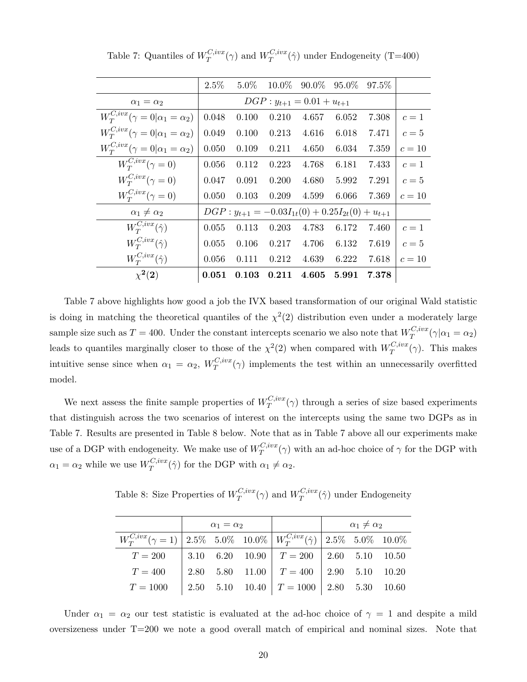|                                               | $2.5\%$ | $5.0\%$                                                   |       |                                 | $10.0\%$ 90.0\% 95.0\% | 97.5% |        |
|-----------------------------------------------|---------|-----------------------------------------------------------|-------|---------------------------------|------------------------|-------|--------|
| $\alpha_1 = \alpha_2$                         |         |                                                           |       | $DGP: y_{t+1} = 0.01 + u_{t+1}$ |                        |       |        |
| $W_T^{C,ivx}(\gamma=0 \alpha_1=\alpha_2)$     | 0.048   | 0.100                                                     | 0.210 | 4.657                           | 6.052                  | 7.308 | $c=1$  |
| $W_T^{C,ivx}(\gamma=0 \alpha_1=\alpha_2)$     | 0.049   | 0.100                                                     | 0.213 | 4.616                           | 6.018                  | 7.471 | $c=5$  |
| $W_T^{C,ivx}(\gamma = 0 \alpha_1 = \alpha_2)$ | 0.050   | 0.109                                                     | 0.211 | 4.650                           | 6.034                  | 7.359 | $c=10$ |
| $W_T^{C,ivx}(\gamma=0)$                       | 0.056   | 0.112                                                     | 0.223 | 4.768                           | 6.181                  | 7.433 | $c=1$  |
| $W_T^{C,ivx}(\gamma=0)$                       | 0.047   | 0.091                                                     | 0.200 | 4.680                           | 5.992                  | 7.291 | $c=5$  |
| $W_T^{C,ivx}(\gamma=0)$                       | 0.050   | 0.103                                                     | 0.209 | 4.599                           | 6.066                  | 7.369 | $c=10$ |
| $\alpha_1 \neq \alpha_2$                      |         | $DGP: y_{t+1} = -0.03I_{1t}(0) + 0.25I_{2t}(0) + u_{t+1}$ |       |                                 |                        |       |        |
| $W_T^{C,ivx}(\hat{\gamma})$                   | 0.055   | 0.113                                                     | 0.203 | 4.783                           | 6.172                  | 7.460 | $c=1$  |
| $W_T^{C,ivx}(\hat{\gamma})$                   | 0.055   | 0.106                                                     | 0.217 | 4.706                           | 6.132                  | 7.619 | $c=5$  |
| $W_T^{C,ivx}(\hat{\gamma})$                   | 0.056   | 0.111                                                     | 0.212 | 4.639                           | 6.222                  | 7.618 | $c=10$ |
| $\chi^2(2)$                                   | 0.051   | 0.103                                                     | 0.211 | 4.605                           | 5.991                  | 7.378 |        |
|                                               |         |                                                           |       |                                 |                        |       |        |

Table 7: Quantiles of  $W_T^{C,ivx}$  $T^{C,ivx}(\gamma)$  and  $W^{C,ivx}_T$  $T^{C,vvx}(\hat{\gamma})$  under Endogeneity (T=400)

Table 7 above highlights how good a job the IVX based transformation of our original Wald statistic is doing in matching the theoretical quantiles of the  $\chi^2(2)$  distribution even under a moderately large sample size such as  $T = 400$ . Under the constant intercepts scenario we also note that  $W_T^{C,ivx}$  $T^{C,vvx}(\gamma|\alpha_1=\alpha_2)$ leads to quantiles marginally closer to those of the  $\chi^2(2)$  when compared with  $W_T^{C,ivx}$  $T^{C,vxx}(\gamma)$ . This makes intuitive sense since when  $\alpha_1 = \alpha_2$ ,  $W_T^{C,ivx}$  $T^{C,vxx}(\gamma)$  implements the test within an unnecessarily overfitted model.

We next assess the finite sample properties of  $W_T^{C,ivx}$  $T^{C,vxx}(\gamma)$  through a series of size based experiments that distinguish across the two scenarios of interest on the intercepts using the same two DGPs as in Table 7. Results are presented in Table 8 below. Note that as in Table 7 above all our experiments make use of a DGP with endogeneity. We make use of  $W_T^{C,ivx}$  $T^{C,vxx}(\gamma)$  with an ad-hoc choice of  $\gamma$  for the DGP with  $\alpha_1 = \alpha_2$  while we use  $W_T^{C,ivx}$  $T^{C,vvx}(\hat{\gamma})$  for the DGP with  $\alpha_1 \neq \alpha_2$ .

Table 8: Size Properties of  $W_T^{C,ivx}$  $T^{C,ivx}(\gamma)$  and  $W^{C,ivx}_T$  $T^{C,vxx}(\hat{\gamma})$  under Endogeneity

|                                                                                     | $\alpha_1 = \alpha_2$ |                                             | $\alpha_1 \neq \alpha_2$ |  |  |
|-------------------------------------------------------------------------------------|-----------------------|---------------------------------------------|--------------------------|--|--|
| $W_T^{C,ivx}(\gamma=1)$ 2.5% 5.0% 10.0% $W_T^{C,ivx}(\hat{\gamma})$ 2.5% 5.0% 10.0% |                       |                                             |                          |  |  |
| $T = 200$   3.10 6.20 10.90   $T = 200$   2.60 5.10 10.50                           |                       |                                             |                          |  |  |
| $T=400$                                                                             |                       | $2.80$ 5.80 11.00 $T = 400$ 2.90 5.10 10.20 |                          |  |  |
| $T = 1000$ 2.50 5.10 10.40 $T = 1000$ 2.80 5.30 10.60                               |                       |                                             |                          |  |  |

Under  $\alpha_1 = \alpha_2$  our test statistic is evaluated at the ad-hoc choice of  $\gamma = 1$  and despite a mild oversizeness under T=200 we note a good overall match of empirical and nominal sizes. Note that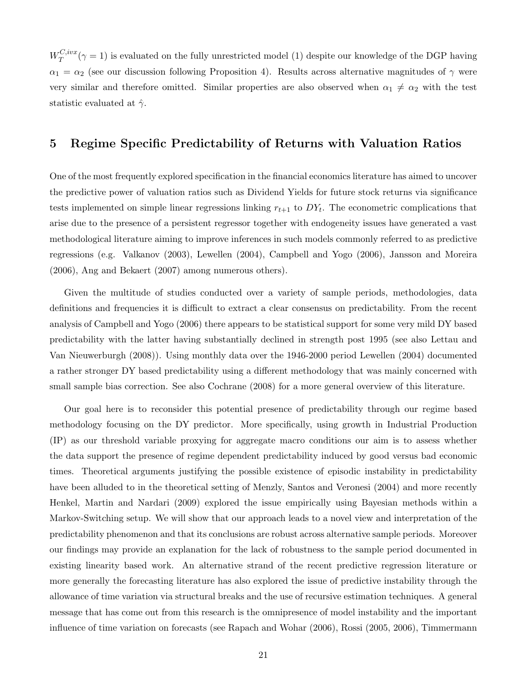$W^{C,ivx}_T$  $T^{C, vxx}(\gamma = 1)$  is evaluated on the fully unrestricted model (1) despite our knowledge of the DGP having  $\alpha_1 = \alpha_2$  (see our discussion following Proposition 4). Results across alternative magnitudes of  $\gamma$  were very similar and therefore omitted. Similar properties are also observed when  $\alpha_1 \neq \alpha_2$  with the test statistic evaluated at  $\hat{\gamma}$ .

#### 5 Regime Specific Predictability of Returns with Valuation Ratios

One of the most frequently explored specification in the financial economics literature has aimed to uncover the predictive power of valuation ratios such as Dividend Yields for future stock returns via significance tests implemented on simple linear regressions linking  $r_{t+1}$  to  $DY_t$ . The econometric complications that arise due to the presence of a persistent regressor together with endogeneity issues have generated a vast methodological literature aiming to improve inferences in such models commonly referred to as predictive regressions (e.g. Valkanov (2003), Lewellen (2004), Campbell and Yogo (2006), Jansson and Moreira (2006), Ang and Bekaert (2007) among numerous others).

Given the multitude of studies conducted over a variety of sample periods, methodologies, data definitions and frequencies it is difficult to extract a clear consensus on predictability. From the recent analysis of Campbell and Yogo (2006) there appears to be statistical support for some very mild DY based predictability with the latter having substantially declined in strength post 1995 (see also Lettau and Van Nieuwerburgh (2008)). Using monthly data over the 1946-2000 period Lewellen (2004) documented a rather stronger DY based predictability using a different methodology that was mainly concerned with small sample bias correction. See also Cochrane (2008) for a more general overview of this literature.

Our goal here is to reconsider this potential presence of predictability through our regime based methodology focusing on the DY predictor. More specifically, using growth in Industrial Production (IP) as our threshold variable proxying for aggregate macro conditions our aim is to assess whether the data support the presence of regime dependent predictability induced by good versus bad economic times. Theoretical arguments justifying the possible existence of episodic instability in predictability have been alluded to in the theoretical setting of Menzly, Santos and Veronesi (2004) and more recently Henkel, Martin and Nardari (2009) explored the issue empirically using Bayesian methods within a Markov-Switching setup. We will show that our approach leads to a novel view and interpretation of the predictability phenomenon and that its conclusions are robust across alternative sample periods. Moreover our findings may provide an explanation for the lack of robustness to the sample period documented in existing linearity based work. An alternative strand of the recent predictive regression literature or more generally the forecasting literature has also explored the issue of predictive instability through the allowance of time variation via structural breaks and the use of recursive estimation techniques. A general message that has come out from this research is the omnipresence of model instability and the important influence of time variation on forecasts (see Rapach and Wohar (2006), Rossi (2005, 2006), Timmermann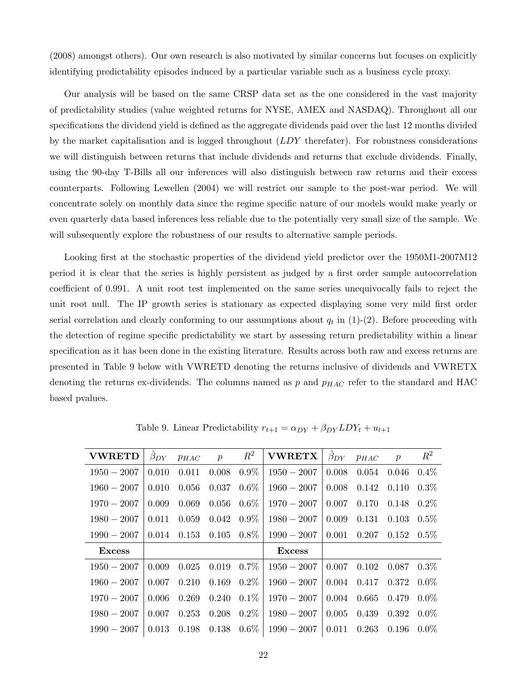(2008) amongst others). Our own research is also motivated by similar concerns but focuses on explicitly identifying predictability episodes induced by a particular variable such as a business cycle proxy.

Our analysis will be based on the same CRSP data set as the one considered in the vast majority of predictability studies (value weighted returns for NYSE, AMEX and NASDAQ). Throughout all our specifications the dividend yield is defined as the aggregate dividends paid over the last 12 months divided by the market capitalisation and is logged throughout  $(LDY$  therefater). For robustness considerations we will distinguish between returns that include dividends and returns that exclude dividends. Finally, using the 90-day T-Bills all our inferences will also distinguish between raw returns and their excess counterparts. Following Lewellen (2004) we will restrict our sample to the post-war period. We will concentrate solely on monthly data since the regime specific nature of our models would make yearly or even quarterly data based inferences less reliable due to the potentially very small size of the sample. We will subsequently explore the robustness of our results to alternative sample periods.

Looking first at the stochastic properties of the dividend yield predictor over the 1950M1-2007M12 period it is clear that the series is highly persistent as judged by a first order sample autocorrelation coefficient of 0.991. A unit root test implemented on the same series unequivocally fails to reject the unit root null. The IP growth series is stationary as expected displaying some very mild first order serial correlation and clearly conforming to our assumptions about  $q_t$  in  $(1)-(2)$ . Before proceeding with the detection of regime specific predictability we start by assessing return predictability within a linear specification as it has been done in the existing literature. Results across both raw and excess returns are presented in Table 9 below with VWRETD denoting the returns inclusive of dividends and VWRETX denoting the returns ex-dividends. The columns named as  $p$  and  $p_{HAC}$  refer to the standard and HAC based pvalues.

| <b>VWRETD</b> | $\beta_{DY}$ | $p_{HAC}$ | $\boldsymbol{p}$ | $R^2$   | <b>VWRETX</b> | $\beta_{DY}$ | $\mathcal{P}HAC$ | $\mathcal{p}$ | $R^2$   |
|---------------|--------------|-----------|------------------|---------|---------------|--------------|------------------|---------------|---------|
| $1950 - 2007$ | 0.010        | 0.011     | 0.008            | $0.9\%$ | $1950 - 2007$ | 0.008        | 0.054            | 0.046         | $0.4\%$ |
| $1960 - 2007$ | 0.010        | 0.056     | 0.037            | $0.6\%$ | $1960 - 2007$ | 0.008        | 0.142            | 0.110         | $0.3\%$ |
| $1970 - 2007$ | 0.009        | 0.069     | 0.056            | $0.6\%$ | $1970 - 2007$ | 0.007        | 0.170            | 0.148         | $0.2\%$ |
| $1980 - 2007$ | 0.011        | 0.059     | 0.042            | $0.9\%$ | $1980 - 2007$ | 0.009        | 0.131            | 0.103         | $0.5\%$ |
| $1990 - 2007$ | 0.014        | 0.153     | 0.105            | $0.8\%$ | $1990 - 2007$ | 0.001        | 0.207            | 0.152         | $0.5\%$ |
| <b>Excess</b> |              |           |                  |         | <b>Excess</b> |              |                  |               |         |
| $1950 - 2007$ | 0.009        | 0.025     | 0.019            | $0.7\%$ | $1950 - 2007$ | 0.007        | 0.102            | 0.087         | $0.3\%$ |
| $1960 - 2007$ | 0.007        | 0.210     | 0.169            | $0.2\%$ | $1960 - 2007$ | 0.004        | 0.417            | 0.372         | $0.0\%$ |
| $1970 - 2007$ | 0.006        | 0.269     | 0.240            | $0.1\%$ | $1970 - 2007$ | 0.004        | 0.665            | 0.479         | $0.0\%$ |
| $1980 - 2007$ | 0.007        | 0.253     | 0.208            | $0.2\%$ | $1980 - 2007$ | 0.005        | 0.439            | 0.392         | $0.0\%$ |
| $1990 - 2007$ | 0.013        | 0.198     | 0.138            | $0.6\%$ | $1990 - 2007$ | 0.011        | 0.263            | 0.196         | $0.0\%$ |

Table 9. Linear Predictability  $r_{t+1} = \alpha_{DY} + \beta_{DY} LDY_t + u_{t+1}$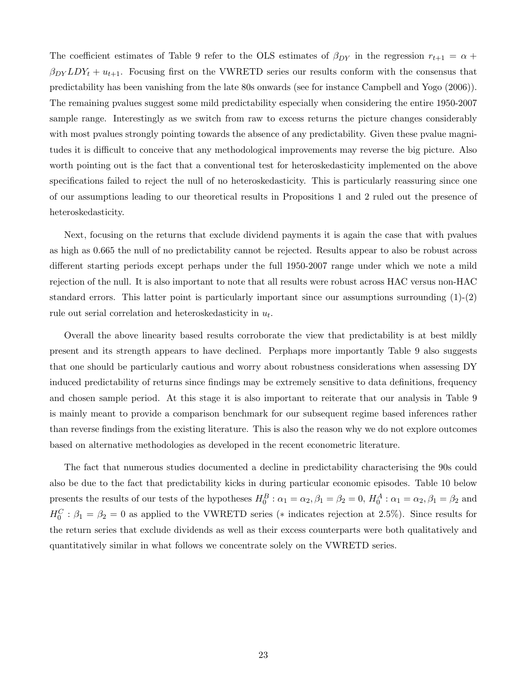The coefficient estimates of Table 9 refer to the OLS estimates of  $\beta_{DY}$  in the regression  $r_{t+1} = \alpha +$  $\beta_{DY}LDY_t + u_{t+1}$ . Focusing first on the VWRETD series our results conform with the consensus that predictability has been vanishing from the late 80s onwards (see for instance Campbell and Yogo (2006)). The remaining pvalues suggest some mild predictability especially when considering the entire 1950-2007 sample range. Interestingly as we switch from raw to excess returns the picture changes considerably with most pvalues strongly pointing towards the absence of any predictability. Given these pvalue magnitudes it is difficult to conceive that any methodological improvements may reverse the big picture. Also worth pointing out is the fact that a conventional test for heteroskedasticity implemented on the above specifications failed to reject the null of no heteroskedasticity. This is particularly reassuring since one of our assumptions leading to our theoretical results in Propositions 1 and 2 ruled out the presence of heteroskedasticity.

Next, focusing on the returns that exclude dividend payments it is again the case that with pvalues as high as 0.665 the null of no predictability cannot be rejected. Results appear to also be robust across different starting periods except perhaps under the full 1950-2007 range under which we note a mild rejection of the null. It is also important to note that all results were robust across HAC versus non-HAC standard errors. This latter point is particularly important since our assumptions surrounding (1)-(2) rule out serial correlation and heteroskedasticity in  $u_t$ .

Overall the above linearity based results corroborate the view that predictability is at best mildly present and its strength appears to have declined. Perphaps more importantly Table 9 also suggests that one should be particularly cautious and worry about robustness considerations when assessing DY induced predictability of returns since findings may be extremely sensitive to data definitions, frequency and chosen sample period. At this stage it is also important to reiterate that our analysis in Table 9 is mainly meant to provide a comparison benchmark for our subsequent regime based inferences rather than reverse findings from the existing literature. This is also the reason why we do not explore outcomes based on alternative methodologies as developed in the recent econometric literature.

The fact that numerous studies documented a decline in predictability characterising the 90s could also be due to the fact that predictability kicks in during particular economic episodes. Table 10 below presents the results of our tests of the hypotheses  $H_0^B: \alpha_1 = \alpha_2, \beta_1 = \beta_2 = 0$ ,  $H_0^A: \alpha_1 = \alpha_2, \beta_1 = \beta_2$  and  $H_0^C$ :  $\beta_1 = \beta_2 = 0$  as applied to the VWRETD series (\* indicates rejection at 2.5%). Since results for the return series that exclude dividends as well as their excess counterparts were both qualitatively and quantitatively similar in what follows we concentrate solely on the VWRETD series.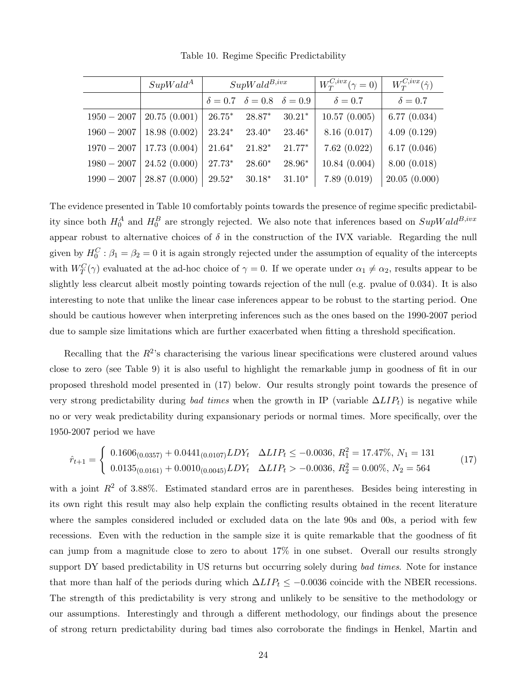|               | $SupWald^A$                   | $SupWald^{B,ivx}$ |                                                      |          | $W_T^{C,ivx}(\gamma=0)$ | $W_T^{C,ivx}(\hat{\gamma})$ |
|---------------|-------------------------------|-------------------|------------------------------------------------------|----------|-------------------------|-----------------------------|
|               |                               |                   | $\delta = 0.7 \quad \delta = 0.8 \quad \delta = 0.9$ |          | $\delta = 0.7$          | $\delta = 0.7$              |
| $1950 - 2007$ | 20.75(0.001)                  | $26.75*$          | 28.87*                                               | $30.21*$ | 10.57(0.005)            | 6.77(0.034)                 |
| $1960 - 2007$ | 18.98(0.002)                  | $23.24*$          | $23.40*$                                             | $23.46*$ | 8.16(0.017)             | 4.09(0.129)                 |
|               | $1970 - 2007$   17.73 (0.004) | $21.64*$          | $21.82*$                                             | $21.77*$ | 7.62(0.022)             | 6.17(0.046)                 |
| $1980 - 2007$ | 24.52(0.000)                  | $27.73*$          | $28.60*$                                             | 28.96*   | 10.84(0.004)            | 8.00(0.018)                 |
| $1990 - 2007$ | 28.87(0.000)                  | $29.52*$          | $30.18*$                                             | $31.10*$ | 7.89(0.019)             | 20.05(0.000)                |

Table 10. Regime Specific Predictability

The evidence presented in Table 10 comfortably points towards the presence of regime specific predictability since both  $H_0^A$  and  $H_0^B$  are strongly rejected. We also note that inferences based on  $SupWald^{B,ivx}$ appear robust to alternative choices of  $\delta$  in the construction of the IVX variable. Regarding the null given by  $H_0^C$ :  $\beta_1 = \beta_2 = 0$  it is again strongly rejected under the assumption of equality of the intercepts with  $W_T^C(\gamma)$  evaluated at the ad-hoc choice of  $\gamma = 0$ . If we operate under  $\alpha_1 \neq \alpha_2$ , results appear to be slightly less clearcut albeit mostly pointing towards rejection of the null (e.g. pvalue of 0.034). It is also interesting to note that unlike the linear case inferences appear to be robust to the starting period. One should be cautious however when interpreting inferences such as the ones based on the 1990-2007 period due to sample size limitations which are further exacerbated when fitting a threshold specification.

Recalling that the  $R^2$ 's characterising the various linear specifications were clustered around values close to zero (see Table 9) it is also useful to highlight the remarkable jump in goodness of fit in our proposed threshold model presented in (17) below. Our results strongly point towards the presence of very strong predictability during bad times when the growth in IP (variable  $\Delta LIP_t$ ) is negative while no or very weak predictability during expansionary periods or normal times. More specifically, over the 1950-2007 period we have

$$
\hat{r}_{t+1} = \begin{cases}\n0.1606_{(0.0357)} + 0.0441_{(0.0107)} LDY_t & \Delta LIP_t \leq -0.0036, R_1^2 = 17.47\%, N_1 = 131 \\
0.0135_{(0.0161)} + 0.0010_{(0.0045)} LDY_t & \Delta LIP_t > -0.0036, R_2^2 = 0.00\%, N_2 = 564\n\end{cases} \tag{17}
$$

with a joint  $R^2$  of 3.88%. Estimated standard erros are in parentheses. Besides being interesting in its own right this result may also help explain the conflicting results obtained in the recent literature where the samples considered included or excluded data on the late 90s and 00s, a period with few recessions. Even with the reduction in the sample size it is quite remarkable that the goodness of fit can jump from a magnitude close to zero to about 17% in one subset. Overall our results strongly support DY based predictability in US returns but occurring solely during bad times. Note for instance that more than half of the periods during which  $\Delta LIP_t \leq -0.0036$  coincide with the NBER recessions. The strength of this predictability is very strong and unlikely to be sensitive to the methodology or our assumptions. Interestingly and through a different methodology, our findings about the presence of strong return predictability during bad times also corroborate the findings in Henkel, Martin and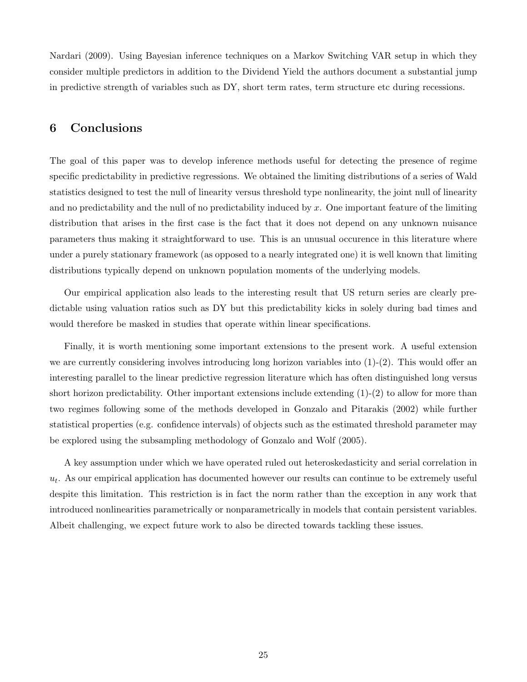Nardari (2009). Using Bayesian inference techniques on a Markov Switching VAR setup in which they consider multiple predictors in addition to the Dividend Yield the authors document a substantial jump in predictive strength of variables such as DY, short term rates, term structure etc during recessions.

## 6 Conclusions

The goal of this paper was to develop inference methods useful for detecting the presence of regime specific predictability in predictive regressions. We obtained the limiting distributions of a series of Wald statistics designed to test the null of linearity versus threshold type nonlinearity, the joint null of linearity and no predictability and the null of no predictability induced by  $x$ . One important feature of the limiting distribution that arises in the first case is the fact that it does not depend on any unknown nuisance parameters thus making it straightforward to use. This is an unusual occurence in this literature where under a purely stationary framework (as opposed to a nearly integrated one) it is well known that limiting distributions typically depend on unknown population moments of the underlying models.

Our empirical application also leads to the interesting result that US return series are clearly predictable using valuation ratios such as DY but this predictability kicks in solely during bad times and would therefore be masked in studies that operate within linear specifications.

Finally, it is worth mentioning some important extensions to the present work. A useful extension we are currently considering involves introducing long horizon variables into  $(1)-(2)$ . This would offer an interesting parallel to the linear predictive regression literature which has often distinguished long versus short horizon predictability. Other important extensions include extending  $(1)-(2)$  to allow for more than two regimes following some of the methods developed in Gonzalo and Pitarakis (2002) while further statistical properties (e.g. confidence intervals) of objects such as the estimated threshold parameter may be explored using the subsampling methodology of Gonzalo and Wolf (2005).

A key assumption under which we have operated ruled out heteroskedasticity and serial correlation in  $u_t$ . As our empirical application has documented however our results can continue to be extremely useful despite this limitation. This restriction is in fact the norm rather than the exception in any work that introduced nonlinearities parametrically or nonparametrically in models that contain persistent variables. Albeit challenging, we expect future work to also be directed towards tackling these issues.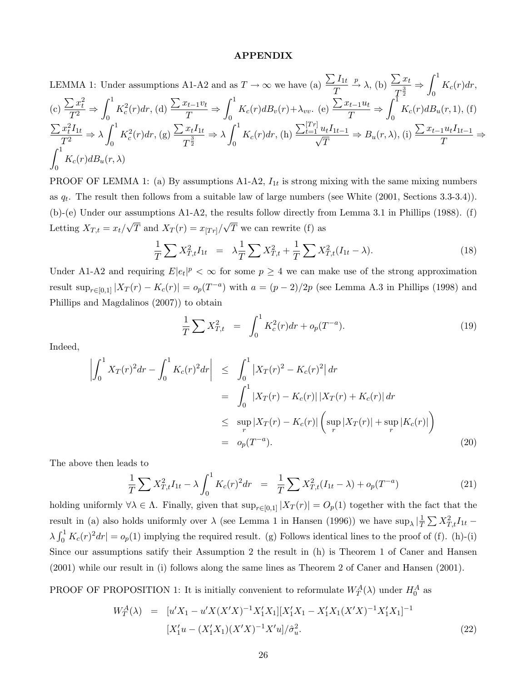#### APPENDIX

LEMMA 1: Under assumptions A1-A2 and as 
$$
T \to \infty
$$
 we have (a)  $\frac{\sum I_{1t}}{T} \xrightarrow{\mathcal{D}} \lambda$ , (b)  $\frac{\sum x_t}{T^{\frac{3}{2}}} \Rightarrow \int_0^1 K_c(r) dr$ ,  
\n(c)  $\frac{\sum x_t^2}{T^2} \Rightarrow \int_0^1 K_c^2(r) dr$ , (d)  $\frac{\sum x_{t-1}v_t}{T} \Rightarrow \int_0^1 K_c(r) dB_v(r) + \lambda_{vv}$ . (e)  $\frac{\sum x_{t-1}u_t}{T} \Rightarrow \int_0^1 K_c(r) dB_u(r, 1)$ , (f)  
\n $\frac{\sum x_t^2 I_{1t}}{T^2} \Rightarrow \lambda \int_0^1 K_c^2(r) dr$ , (g)  $\frac{\sum x_t I_{1t}}{T^{\frac{3}{2}}} \Rightarrow \lambda \int_0^1 K_c(r) dr$ , (h)  $\frac{\sum t=1}^{[Tr]} u_t I_{1t-1}}{\sqrt{T}} \Rightarrow B_u(r, \lambda)$ , (i)  $\frac{\sum x_{t-1}u_t I_{1t-1}}{T} \Rightarrow$   
\n $\int_0^1 K_c(r) dB_u(r, \lambda)$ 

PROOF OF LEMMA 1: (a) By assumptions  $A1-A2$ ,  $I_{1t}$  is strong mixing with the same mixing numbers as  $q_t$ . The result then follows from a suitable law of large numbers (see White  $(2001, \text{Sections } 3.3-3.4)$ ). (b)-(e) Under our assumptions A1-A2, the results follow directly from Lemma 3.1 in Phillips (1988). (f) Letting  $X_{T,t} = x_t/\sqrt{T}$  and  $X_T(r) = x_{[Tr]}/\sqrt{T}$  we can rewrite (f) as

$$
\frac{1}{T} \sum X_{T,t}^2 I_{1t} = \lambda \frac{1}{T} \sum X_{T,t}^2 + \frac{1}{T} \sum X_{T,t}^2 (I_{1t} - \lambda).
$$
\n(18)

Under A1-A2 and requiring  $E|e_t|^p < \infty$  for some  $p \geq 4$  we can make use of the strong approximation result  $\sup_{r \in [0,1]} |X_T(r) - K_c(r)| = o_p(T^{-a})$  with  $a = (p-2)/2p$  (see Lemma A.3 in Phillips (1998) and Phillips and Magdalinos (2007)) to obtain

$$
\frac{1}{T} \sum X_{T,t}^2 = \int_0^1 K_c^2(r) dr + o_p(T^{-a}). \tag{19}
$$

Indeed,

$$
\left| \int_0^1 X_T(r)^2 dr - \int_0^1 K_c(r)^2 dr \right| \leq \int_0^1 \left| X_T(r)^2 - K_c(r)^2 \right| dr
$$
  
\n
$$
= \int_0^1 \left| X_T(r) - K_c(r) \right| \left| X_T(r) + K_c(r) \right| dr
$$
  
\n
$$
\leq \sup_r |X_T(r) - K_c(r)| \left( \sup_r |X_T(r)| + \sup_r |K_c(r)| \right)
$$
  
\n
$$
= o_p(T^{-a}). \tag{20}
$$

The above then leads to

$$
\frac{1}{T} \sum X_{T,t}^2 I_{1t} - \lambda \int_0^1 K_c(r)^2 dr = \frac{1}{T} \sum X_{T,t}^2 (I_{1t} - \lambda) + o_p(T^{-a})
$$
\n(21)

holding uniformly  $\forall \lambda \in \Lambda$ . Finally, given that  $\sup_{r \in [0,1]} |X_T(r)| = O_p(1)$  together with the fact that the result in (a) also holds uniformly over  $\lambda$  (see Lemma 1 in Hansen (1996)) we have  $\sup_{\lambda} |\frac{1}{T}$  $\frac{1}{T}\sum X_{T,t}^2 I_{1t}$  –  $\lambda \int_0^1 K_c(r)^2 dr$  =  $o_p(1)$  implying the required result. (g) Follows identical lines to the proof of (f). (h)-(i) Since our assumptions satify their Assumption 2 the result in (h) is Theorem 1 of Caner and Hansen (2001) while our result in (i) follows along the same lines as Theorem 2 of Caner and Hansen (2001).

PROOF OF PROPOSITION 1: It is initially convenient to reformulate  $W_T^A(\lambda)$  under  $H_0^A$  as

$$
W_T^A(\lambda) = [u'X_1 - u'X(X'X)^{-1}X_1'X_1][X_1'X_1 - X_1'X_1(X'X)^{-1}X_1'X_1]^{-1}
$$
  

$$
[X_1'u - (X_1'X_1)(X'X)^{-1}X'u]/\hat{\sigma}_u^2.
$$
 (22)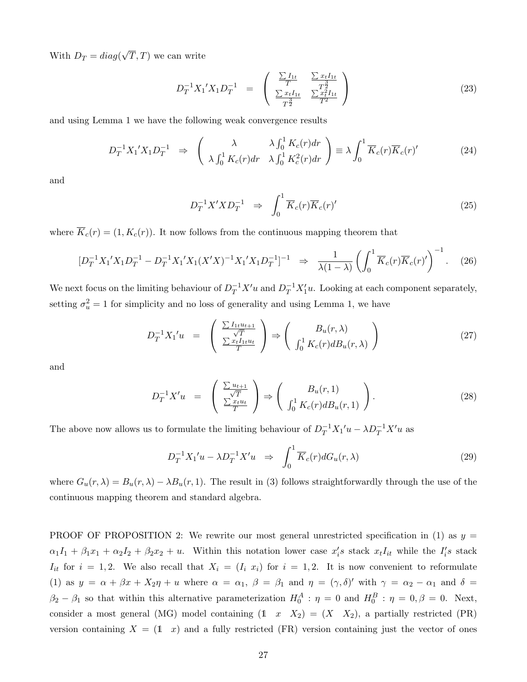With  $D_T = diag(\sqrt{T}, T)$  we can write

$$
D_T^{-1} X_1' X_1 D_T^{-1} = \begin{pmatrix} \frac{\sum I_{1t}}{T} & \frac{\sum x_t I_{1t}}{T^{\frac{3}{2}}} \\ \frac{\sum x_t I_{1t}}{T^{\frac{3}{2}}} & \frac{\sum x_t^2 I_{1t}}{T^2} \end{pmatrix}
$$
 (23)

and using Lemma 1 we have the following weak convergence results

$$
D_T^{-1} X_1' X_1 D_T^{-1} \Rightarrow \begin{pmatrix} \lambda & \lambda \int_0^1 K_c(r) dr \\ \lambda \int_0^1 K_c(r) dr & \lambda \int_0^1 K_c^2(r) dr \end{pmatrix} \equiv \lambda \int_0^1 \overline{K}_c(r) \overline{K}_c(r)'
$$
(24)

and

$$
D_T^{-1}X'XD_T^{-1} \quad \Rightarrow \quad \int_0^1 \overline{K}_c(r)\overline{K}_c(r)'
$$
\n
$$
(25)
$$

where  $\overline{K}_c(r) = (1, K_c(r))$ . It now follows from the continuous mapping theorem that

$$
[D_T^{-1}X_1'X_1D_T^{-1} - D_T^{-1}X_1'X_1(X'X)^{-1}X_1'X_1D_T^{-1}]^{-1} \implies \frac{1}{\lambda(1-\lambda)} \left( \int_0^1 \overline{K}_c(r)\overline{K}_c(r)' \right)^{-1} . \tag{26}
$$

We next focus on the limiting behaviour of  $D_T^{-1}X'u$  and  $D_T^{-1}X'_1u$ . Looking at each component separately, setting  $\sigma_u^2 = 1$  for simplicity and no loss of generality and using Lemma 1, we have

$$
D_T^{-1} X_1' u = \begin{pmatrix} \frac{\sum I_{1t} u_{t+1}}{\sqrt{T}} \\ \frac{\sum x_t I_{1t} u_t}{T} \end{pmatrix} \Rightarrow \begin{pmatrix} B_u(r, \lambda) \\ \int_0^1 K_c(r) dB_u(r, \lambda) \end{pmatrix}
$$
(27)

and

$$
D_T^{-1}X'u = \begin{pmatrix} \frac{\sum u_{t+1}}{\sqrt{T}} \\ \frac{\sum x_t u_t}{T} \end{pmatrix} \Rightarrow \begin{pmatrix} B_u(r,1) \\ \int_0^1 K_c(r) dB_u(r,1) \end{pmatrix}.
$$
 (28)

The above now allows us to formulate the limiting behaviour of  $D_T^{-1}X_1'u - \lambda D_T^{-1}X'u$  as

$$
D_T^{-1}X_1'u - \lambda D_T^{-1}X'u \Rightarrow \int_0^1 \overline{K}_c(r)dG_u(r,\lambda)
$$
\n(29)

where  $G_u(r, \lambda) = B_u(r, \lambda) - \lambda B_u(r, 1)$ . The result in (3) follows straightforwardly through the use of the continuous mapping theorem and standard algebra.

PROOF OF PROPOSITION 2: We rewrite our most general unrestricted specification in (1) as  $y =$  $\alpha_1I_1 + \beta_1x_1 + \alpha_2I_2 + \beta_2x_2 + u$ . Within this notation lower case  $x_i$ 's stack  $x_tI_{it}$  while the  $I_i$ 's stack  $I_{it}$  for  $i = 1, 2$ . We also recall that  $X_i = (I_i \ x_i)$  for  $i = 1, 2$ . It is now convenient to reformulate (1) as  $y = \alpha + \beta x + X_2 \eta + u$  where  $\alpha = \alpha_1$ ,  $\beta = \beta_1$  and  $\eta = (\gamma, \delta)'$  with  $\gamma = \alpha_2 - \alpha_1$  and  $\delta =$  $\beta_2 - \beta_1$  so that within this alternative parameterization  $H_0^A$ :  $\eta = 0$  and  $H_0^B$ :  $\eta = 0, \beta = 0$ . Next, consider a most general (MG) model containing  $(1 \ x \ X_2) = (X \ X_2)$ , a partially restricted (PR) version containing  $X = (1 \ x)$  and a fully restricted (FR) version containing just the vector of ones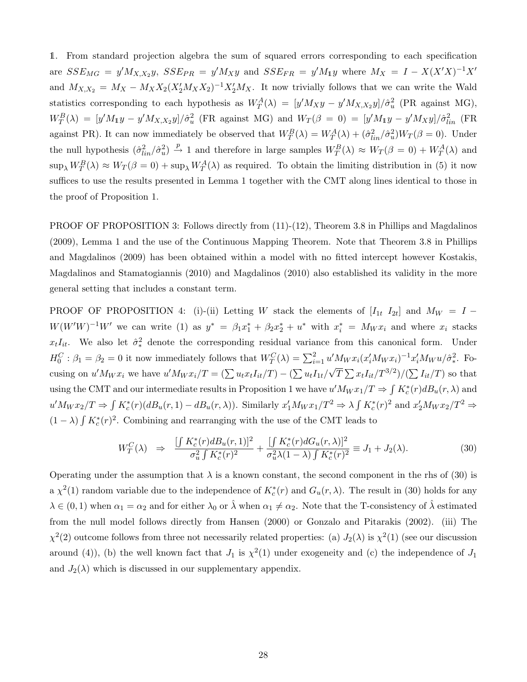1. From standard projection algebra the sum of squared errors corresponding to each specification are  $SSE_{MG} = y'M_{X,X_2}y$ ,  $SSE_{PR} = y'M_{X}y$  and  $SSE_{FR} = y'M_{1}y$  where  $M_X = I - X(X'X)^{-1}X'$ and  $M_{X,X_2} = M_X - M_X X_2 (X_2' M_X X_2)^{-1} X_2' M_X$ . It now trivially follows that we can write the Wald statistics corresponding to each hypothesis as  $W_T^A(\lambda) = [y' M_X y - y' M_{X,X_2} y]/\hat{\sigma}_u^2$  (PR against MG),  $W_T^B(\lambda) = [y'M_1y - y'M_{X,X_2}y]/\hat{\sigma}_u^2$  (FR against MG) and  $W_T(\beta = 0) = [y'M_1y - y'M_Xy]/\hat{\sigma}_{lin}^2$  (FR against PR). It can now immediately be observed that  $W_T^B(\lambda) = W_T^A(\lambda) + (\hat{\sigma}_{lin}^2/\hat{\sigma}_u^2)W_T(\beta = 0)$ . Under the null hypothesis  $(\hat{\sigma}_{lin}^2/\hat{\sigma}_u^2) \stackrel{p}{\to} 1$  and therefore in large samples  $W_T^B(\lambda) \approx W_T(\beta = 0) + W_T^A(\lambda)$  and  $\sup_{\lambda} W_T^B(\lambda) \approx W_T(\beta = 0) + \sup_{\lambda} W_T^A(\lambda)$  as required. To obtain the limiting distribution in (5) it now suffices to use the results presented in Lemma 1 together with the CMT along lines identical to those in the proof of Proposition 1.

PROOF OF PROPOSITION 3: Follows directly from  $(11)-(12)$ , Theorem 3.8 in Phillips and Magdalinos (2009), Lemma 1 and the use of the Continuous Mapping Theorem. Note that Theorem 3.8 in Phillips and Magdalinos (2009) has been obtained within a model with no fitted intercept however Kostakis, Magdalinos and Stamatogiannis (2010) and Magdalinos (2010) also established its validity in the more general setting that includes a constant term.

PROOF OF PROPOSITION 4: (i)-(ii) Letting W stack the elements of  $[I_{1t} \ I_{2t}]$  and  $M_W = I W(W'W)^{-1}W'$  we can write (1) as  $y^* = \beta_1 x_1^* + \beta_2 x_2^* + u^*$  with  $x_i^* = M_W x_i$  and where  $x_i$  stacks  $x_tI_{it}$ . We also let  $\hat{\sigma}^2_*$  denote the corresponding residual variance from this canonical form. Under  $H_0^C: \beta_1 = \beta_2 = 0$  it now immediately follows that  $W_T^C(\lambda) = \sum_{i=1}^2 u' M_W x_i (x_i' M_W x_i)^{-1} x_i' M_W u / \hat{\sigma}_*^2$ ∗ . Focusing on  $u'M_Wx_i$  we have  $u'M_Wx_i/T = (\sum u_t x_tI_{it}/T) - (\sum u_tI_{1t}/\sqrt{T}\sum x_tI_{it}/T^{3/2})/(\sum I_{it}/T)$  so that using the CMT and our intermediate results in Proposition 1 we have  $u'M_Wx_1/T \Rightarrow \int K_c^*(r)dB_u(r,\lambda)$  and  $u'M_Wx_2/T \Rightarrow \int K_c^*(r)(dB_u(r,1) - dB_u(r,\lambda)).$  Similarly  $x'_1M_Wx_1/T^2 \Rightarrow \lambda \int K_c^*(r)^2$  and  $x'_2M_Wx_2/T^2 \Rightarrow$  $(1 - \lambda) \int K_c^*(r)^2$ . Combining and rearranging with the use of the CMT leads to

$$
W_T^C(\lambda) \Rightarrow \frac{\left[\int K_c^*(r) dB_u(r, 1)\right]^2}{\sigma_u^2 \int K_c^*(r)^2} + \frac{\int K_c^*(r) dG_u(r, \lambda)\right]^2}{\sigma_u^2 \lambda (1 - \lambda) \int K_c^*(r)^2} \equiv J_1 + J_2(\lambda). \tag{30}
$$

Operating under the assumption that  $\lambda$  is a known constant, the second component in the rhs of (30) is a  $\chi^2(1)$  random variable due to the independence of  $K_c^*(r)$  and  $G_u(r,\lambda)$ . The result in (30) holds for any  $\lambda \in (0,1)$  when  $\alpha_1 = \alpha_2$  and for either  $\lambda_0$  or  $\hat{\lambda}$  when  $\alpha_1 \neq \alpha_2$ . Note that the T-consistency of  $\hat{\lambda}$  estimated from the null model follows directly from Hansen (2000) or Gonzalo and Pitarakis (2002). (iii) The  $\chi^2(2)$  outcome follows from three not necessarily related properties: (a)  $J_2(\lambda)$  is  $\chi^2(1)$  (see our discussion around (4)), (b) the well known fact that  $J_1$  is  $\chi^2(1)$  under exogeneity and (c) the independence of  $J_1$ and  $J_2(\lambda)$  which is discussed in our supplementary appendix.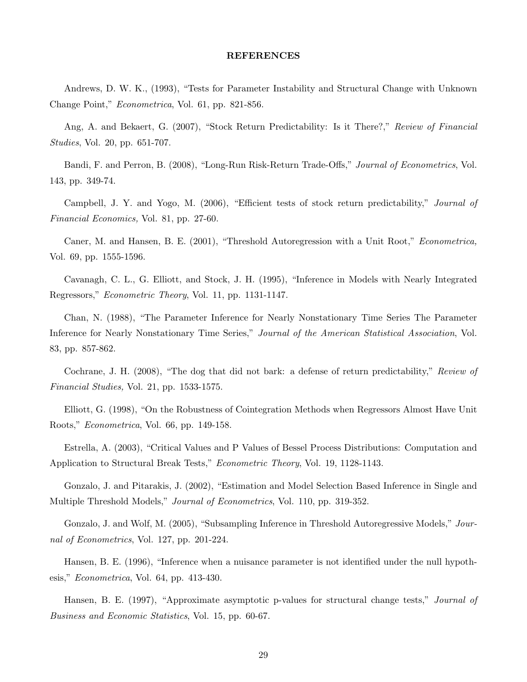#### REFERENCES

Andrews, D. W. K., (1993), "Tests for Parameter Instability and Structural Change with Unknown Change Point," Econometrica, Vol. 61, pp. 821-856.

Ang, A. and Bekaert, G. (2007), "Stock Return Predictability: Is it There?," Review of Financial Studies, Vol. 20, pp. 651-707.

Bandi, F. and Perron, B. (2008), "Long-Run Risk-Return Trade-Offs," Journal of Econometrics, Vol. 143, pp. 349-74.

Campbell, J. Y. and Yogo, M. (2006), "Efficient tests of stock return predictability," Journal of Financial Economics, Vol. 81, pp. 27-60.

Caner, M. and Hansen, B. E. (2001), "Threshold Autoregression with a Unit Root," Econometrica, Vol. 69, pp. 1555-1596.

Cavanagh, C. L., G. Elliott, and Stock, J. H. (1995), "Inference in Models with Nearly Integrated Regressors," Econometric Theory, Vol. 11, pp. 1131-1147.

Chan, N. (1988), "The Parameter Inference for Nearly Nonstationary Time Series The Parameter Inference for Nearly Nonstationary Time Series," Journal of the American Statistical Association, Vol. 83, pp. 857-862.

Cochrane, J. H. (2008), "The dog that did not bark: a defense of return predictability," Review of Financial Studies, Vol. 21, pp. 1533-1575.

Elliott, G. (1998), "On the Robustness of Cointegration Methods when Regressors Almost Have Unit Roots," Econometrica, Vol. 66, pp. 149-158.

Estrella, A. (2003), "Critical Values and P Values of Bessel Process Distributions: Computation and Application to Structural Break Tests," Econometric Theory, Vol. 19, 1128-1143.

Gonzalo, J. and Pitarakis, J. (2002), "Estimation and Model Selection Based Inference in Single and Multiple Threshold Models," *Journal of Econometrics*, Vol. 110, pp. 319-352.

Gonzalo, J. and Wolf, M. (2005), "Subsampling Inference in Threshold Autoregressive Models," Journal of Econometrics, Vol. 127, pp. 201-224.

Hansen, B. E. (1996), "Inference when a nuisance parameter is not identified under the null hypothesis," Econometrica, Vol. 64, pp. 413-430.

Hansen, B. E. (1997), "Approximate asymptotic p-values for structural change tests," Journal of Business and Economic Statistics, Vol. 15, pp. 60-67.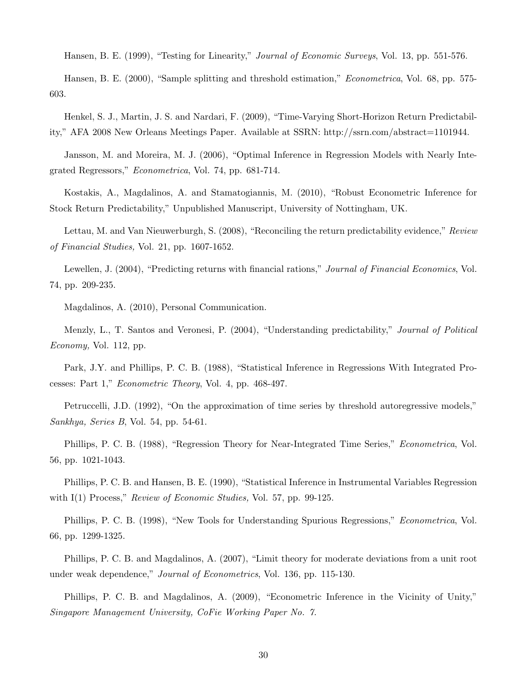Hansen, B. E. (1999), "Testing for Linearity," Journal of Economic Surveys, Vol. 13, pp. 551-576.

Hansen, B. E. (2000), "Sample splitting and threshold estimation," Econometrica, Vol. 68, pp. 575- 603.

Henkel, S. J., Martin, J. S. and Nardari, F. (2009), "Time-Varying Short-Horizon Return Predictability," AFA 2008 New Orleans Meetings Paper. Available at SSRN: http://ssrn.com/abstract=1101944.

Jansson, M. and Moreira, M. J. (2006), "Optimal Inference in Regression Models with Nearly Integrated Regressors," Econometrica, Vol. 74, pp. 681-714.

Kostakis, A., Magdalinos, A. and Stamatogiannis, M. (2010), "Robust Econometric Inference for Stock Return Predictability," Unpublished Manuscript, University of Nottingham, UK.

Lettau, M. and Van Nieuwerburgh, S. (2008), "Reconciling the return predictability evidence," Review of Financial Studies, Vol. 21, pp. 1607-1652.

Lewellen, J. (2004), "Predicting returns with financial rations," Journal of Financial Economics, Vol. 74, pp. 209-235.

Magdalinos, A. (2010), Personal Communication.

Menzly, L., T. Santos and Veronesi, P. (2004), "Understanding predictability," Journal of Political Economy, Vol. 112, pp.

Park, J.Y. and Phillips, P. C. B. (1988), "Statistical Inference in Regressions With Integrated Processes: Part 1," Econometric Theory, Vol. 4, pp. 468-497.

Petruccelli, J.D. (1992), "On the approximation of time series by threshold autoregressive models," Sankhya, Series B, Vol. 54, pp. 54-61.

Phillips, P. C. B. (1988), "Regression Theory for Near-Integrated Time Series," Econometrica, Vol. 56, pp. 1021-1043.

Phillips, P. C. B. and Hansen, B. E. (1990), "Statistical Inference in Instrumental Variables Regression with I(1) Process," Review of Economic Studies, Vol. 57, pp. 99-125.

Phillips, P. C. B. (1998), "New Tools for Understanding Spurious Regressions," Econometrica, Vol. 66, pp. 1299-1325.

Phillips, P. C. B. and Magdalinos, A. (2007), "Limit theory for moderate deviations from a unit root under weak dependence," Journal of Econometrics, Vol. 136, pp. 115-130.

Phillips, P. C. B. and Magdalinos, A. (2009), "Econometric Inference in the Vicinity of Unity," Singapore Management University, CoFie Working Paper No. 7.